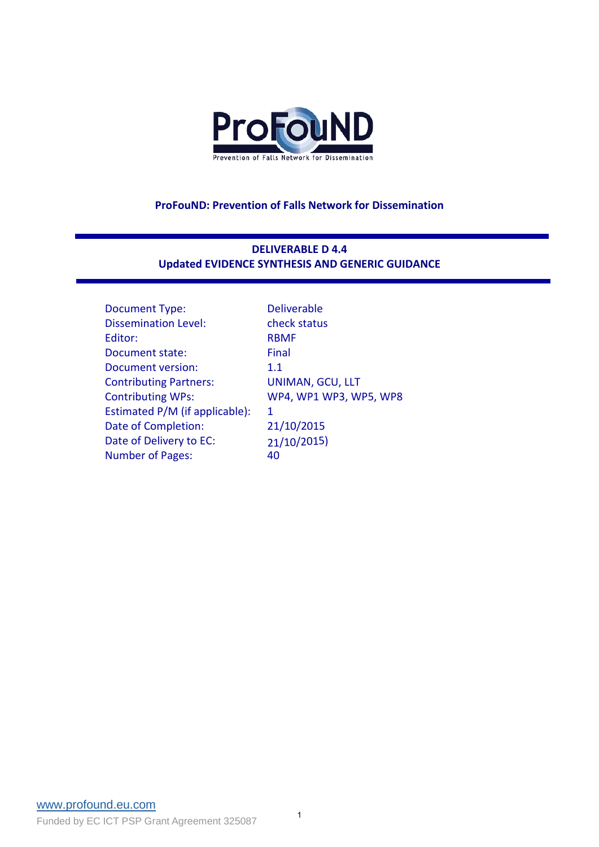

#### **ProFouND: Prevention of Falls Network for Dissemination**

## **DELIVERABLE D 4.4 Updated EVIDENCE SYNTHESIS AND GENERIC GUIDANCE**

| <b>Deliverable</b>     |
|------------------------|
| check status           |
| <b>RBMF</b>            |
| Final                  |
| 1.1                    |
| UNIMAN, GCU, LLT       |
| WP4, WP1 WP3, WP5, WP8 |
| 1                      |
| 21/10/2015             |
| 21/10/2015)            |
| 40                     |
|                        |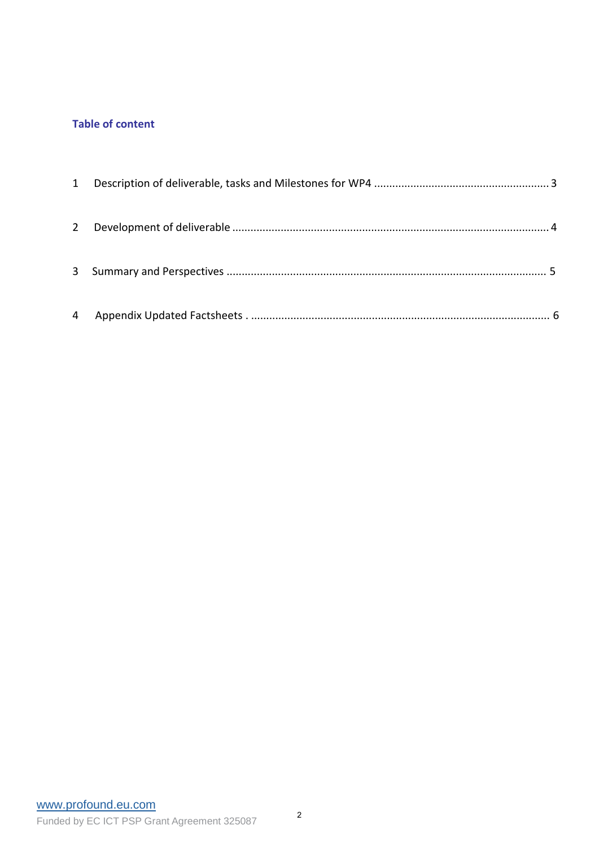## **Table of content**

| $2^{\circ}$ |  |
|-------------|--|
|             |  |
| 4           |  |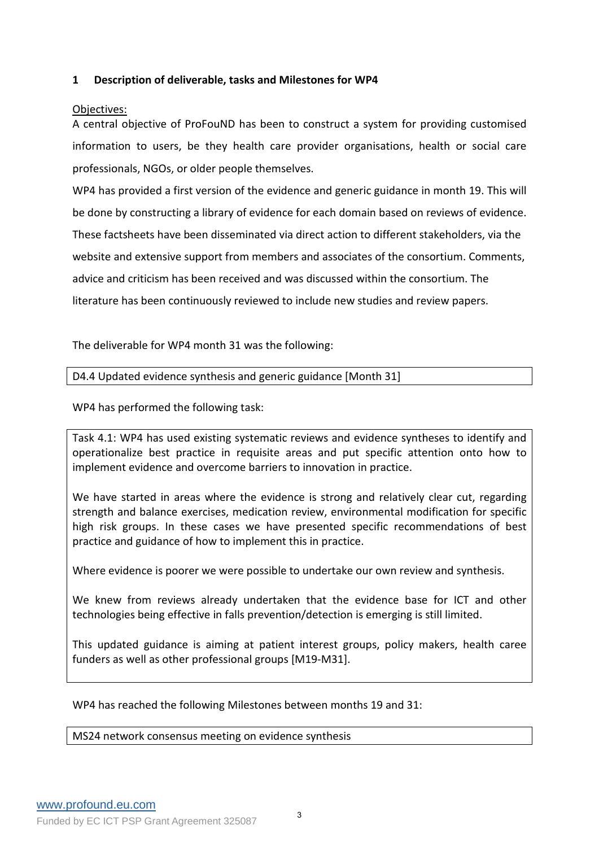### <span id="page-2-0"></span>**1 Description of deliverable, tasks and Milestones for WP4**

## Objectives:

A central objective of ProFouND has been to construct a system for providing customised information to users, be they health care provider organisations, health or social care professionals, NGOs, or older people themselves.

WP4 has provided a first version of the evidence and generic guidance in month 19. This will be done by constructing a library of evidence for each domain based on reviews of evidence. These factsheets have been disseminated via direct action to different stakeholders, via the website and extensive support from members and associates of the consortium. Comments, advice and criticism has been received and was discussed within the consortium. The literature has been continuously reviewed to include new studies and review papers.

The deliverable for WP4 month 31 was the following:

#### D4.4 Updated evidence synthesis and generic guidance [Month 31]

WP4 has performed the following task:

Task 4.1: WP4 has used existing systematic reviews and evidence syntheses to identify and operationalize best practice in requisite areas and put specific attention onto how to implement evidence and overcome barriers to innovation in practice.

We have started in areas where the evidence is strong and relatively clear cut, regarding strength and balance exercises, medication review, environmental modification for specific high risk groups. In these cases we have presented specific recommendations of best practice and guidance of how to implement this in practice.

Where evidence is poorer we were possible to undertake our own review and synthesis.

We knew from reviews already undertaken that the evidence base for ICT and other technologies being effective in falls prevention/detection is emerging is still limited.

This updated guidance is aiming at patient interest groups, policy makers, health caree funders as well as other professional groups [M19-M31].

WP4 has reached the following Milestones between months 19 and 31:

<span id="page-2-1"></span>MS24 network consensus meeting on evidence synthesis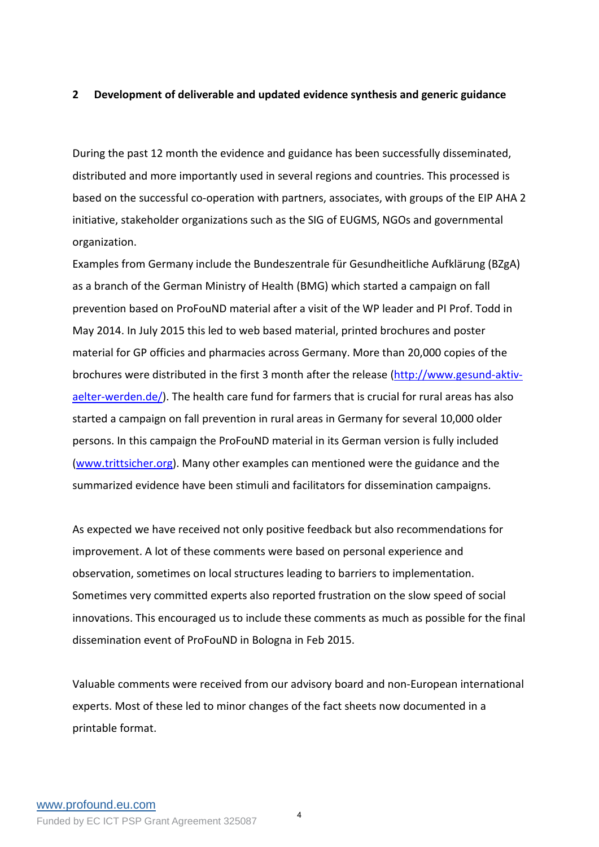#### **2 Development of deliverable and updated evidence synthesis and generic guidance**

During the past 12 month the evidence and guidance has been successfully disseminated, distributed and more importantly used in several regions and countries. This processed is based on the successful co-operation with partners, associates, with groups of the EIP AHA 2 initiative, stakeholder organizations such as the SIG of EUGMS, NGOs and governmental organization.

Examples from Germany include the Bundeszentrale für Gesundheitliche Aufklärung (BZgA) as a branch of the German Ministry of Health (BMG) which started a campaign on fall prevention based on ProFouND material after a visit of the WP leader and PI Prof. Todd in May 2014. In July 2015 this led to web based material, printed brochures and poster material for GP officies and pharmacies across Germany. More than 20,000 copies of the brochures were distributed in the first 3 month after the release [\(http://www.gesund-aktiv](http://www.gesund-aktiv-aelter-werden.de/)[aelter-werden.de/\)](http://www.gesund-aktiv-aelter-werden.de/). The health care fund for farmers that is crucial for rural areas has also started a campaign on fall prevention in rural areas in Germany for several 10,000 older persons. In this campaign the ProFouND material in its German version is fully included [\(www.trittsicher.org\)](http://www.trittsicher.org/). Many other examples can mentioned were the guidance and the summarized evidence have been stimuli and facilitators for dissemination campaigns.

As expected we have received not only positive feedback but also recommendations for improvement. A lot of these comments were based on personal experience and observation, sometimes on local structures leading to barriers to implementation. Sometimes very committed experts also reported frustration on the slow speed of social innovations. This encouraged us to include these comments as much as possible for the final dissemination event of ProFouND in Bologna in Feb 2015.

Valuable comments were received from our advisory board and non-European international experts. Most of these led to minor changes of the fact sheets now documented in a printable format.

4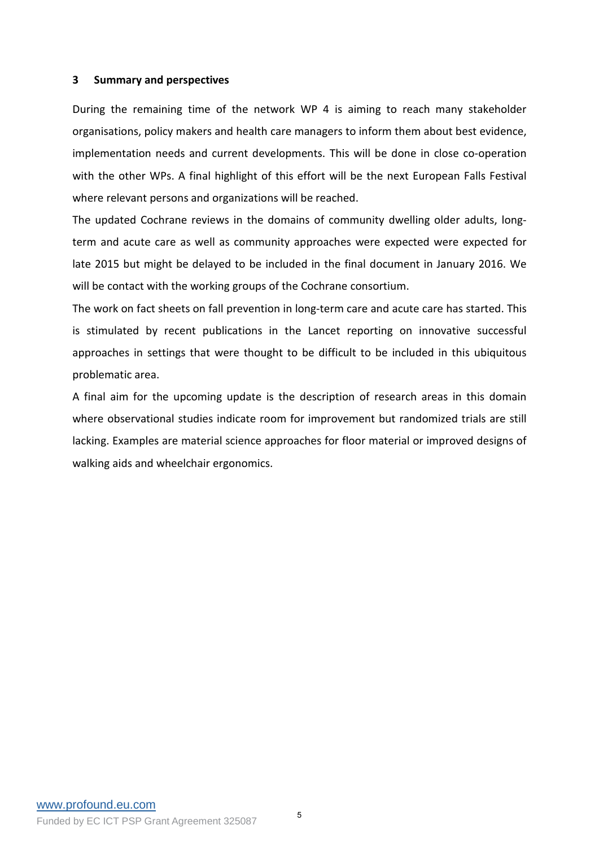#### <span id="page-4-0"></span>**3 Summary and perspectives**

During the remaining time of the network WP 4 is aiming to reach many stakeholder organisations, policy makers and health care managers to inform them about best evidence, implementation needs and current developments. This will be done in close co-operation with the other WPs. A final highlight of this effort will be the next European Falls Festival where relevant persons and organizations will be reached.

The updated Cochrane reviews in the domains of community dwelling older adults, longterm and acute care as well as community approaches were expected were expected for late 2015 but might be delayed to be included in the final document in January 2016. We will be contact with the working groups of the Cochrane consortium.

The work on fact sheets on fall prevention in long-term care and acute care has started. This is stimulated by recent publications in the Lancet reporting on innovative successful approaches in settings that were thought to be difficult to be included in this ubiquitous problematic area.

A final aim for the upcoming update is the description of research areas in this domain where observational studies indicate room for improvement but randomized trials are still lacking. Examples are material science approaches for floor material or improved designs of walking aids and wheelchair ergonomics.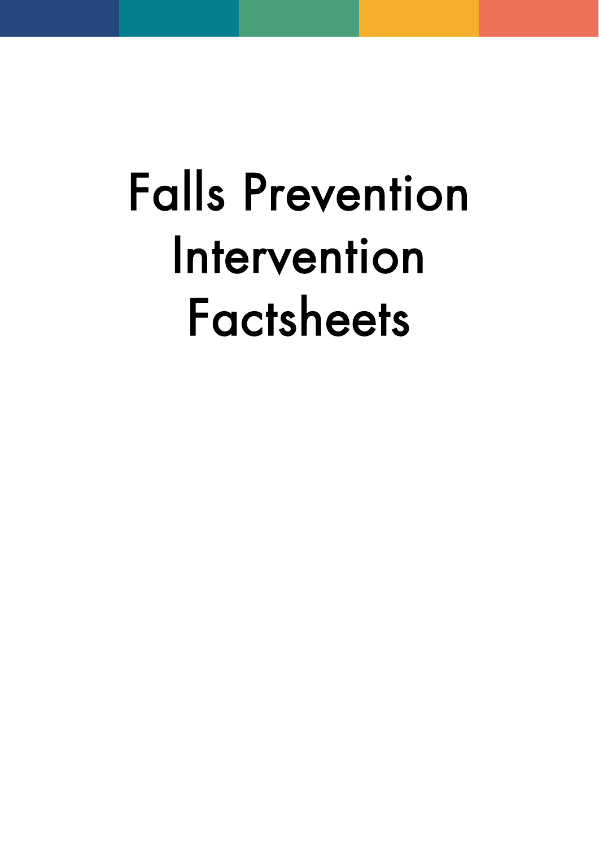# Falls Prevention Intervention Factsheets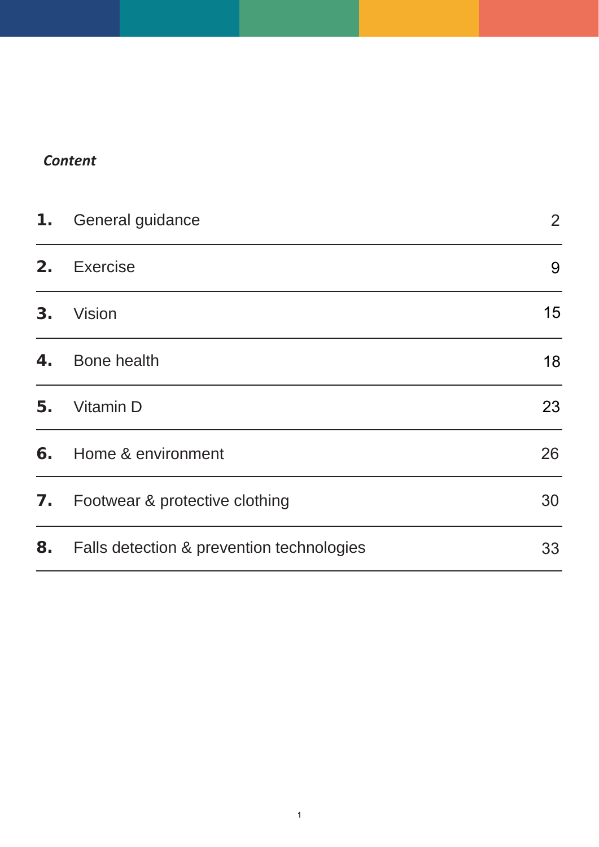# *Content*

| $\mathbf 1$ . | <b>General guidance</b>                   | $\overline{2}$ |
|---------------|-------------------------------------------|----------------|
| 2.            | Exercise                                  | 9              |
| 3.            | Vision                                    | 15             |
| 4.            | <b>Bone health</b>                        | 18             |
| 5.            | <b>Vitamin D</b>                          | 23             |
| 6.            | Home & environment                        | 26             |
| 7.            | Footwear & protective clothing            | 30             |
| 8.            | Falls detection & prevention technologies | 33             |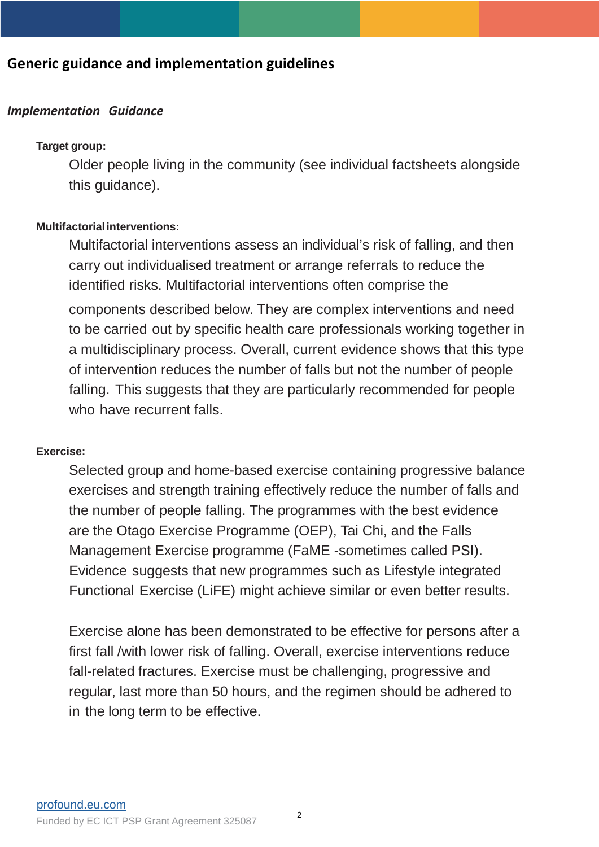# **Generic guidance and implementation guidelines**

## *Implementation Guidance*

#### **Target group:**

Older people living in the community (see individual factsheets alongside this guidance).

#### **Multifactorialinterventions:**

Multifactorial interventions assess an individual's risk of falling, and then carry out individualised treatment or arrange referrals to reduce the identified risks. Multifactorial interventions often comprise the components described below. They are complex interventions and need to be carried out by specific health care professionals working together in a multidisciplinary process. Overall, current evidence shows that this type of intervention reduces the number of falls but not the number of people falling. This suggests that they are particularly recommended for people who have recurrent falls.

#### **Exercise:**

Selected group and home-based exercise containing progressive balance exercises and strength training effectively reduce the number of falls and the number of people falling. The programmes with the best evidence are the Otago Exercise Programme (OEP), Tai Chi, and the Falls Management Exercise programme (FaME -sometimes called PSI). Evidence suggests that new programmes such as Lifestyle integrated Functional Exercise (LiFE) might achieve similar or even better results.

Exercise alone has been demonstrated to be effective for persons after a first fall /with lower risk of falling. Overall, exercise interventions reduce fall-related fractures. Exercise must be challenging, progressive and regular, last more than 50 hours, and the regimen should be adhered to in the long term to be effective.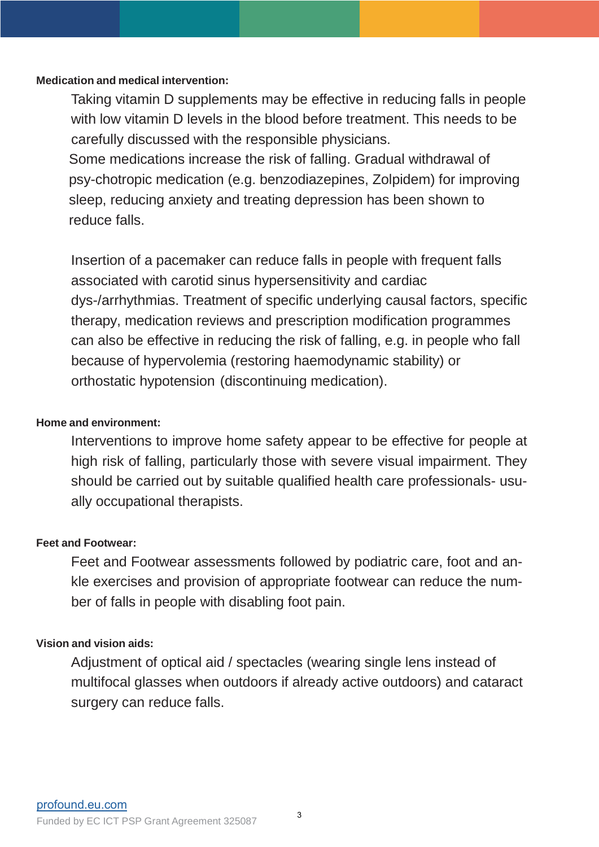## **Medication and medical intervention:**

Taking vitamin D supplements may be effective in reducing falls in people with low vitamin D levels in the blood before treatment. This needs to be carefully discussed with the responsible physicians.

Some medications increase the risk of falling. Gradual withdrawal of psy-chotropic medication (e.g. benzodiazepines, Zolpidem) for improving sleep, reducing anxiety and treating depression has been shown to reduce falls.

Insertion of a pacemaker can reduce falls in people with frequent falls associated with carotid sinus hypersensitivity and cardiac dys-/arrhythmias. Treatment of specific underlying causal factors, specific therapy, medication reviews and prescription modification programmes can also be effective in reducing the risk of falling, e.g. in people who fall because of hypervolemia (restoring haemodynamic stability) or orthostatic hypotension (discontinuing medication).

## **Home and environment:**

Interventions to improve home safety appear to be effective for people at high risk of falling, particularly those with severe visual impairment. They should be carried out by suitable qualified health care professionals- usually occupational therapists.

## **Feet and Footwear:**

Feet and Footwear assessments followed by podiatric care, foot and ankle exercises and provision of appropriate footwear can reduce the number of falls in people with disabling foot pain.

## **Vision and vision aids:**

Adjustment of optical aid / spectacles (wearing single lens instead of multifocal glasses when outdoors if already active outdoors) and cataract surgery can reduce falls.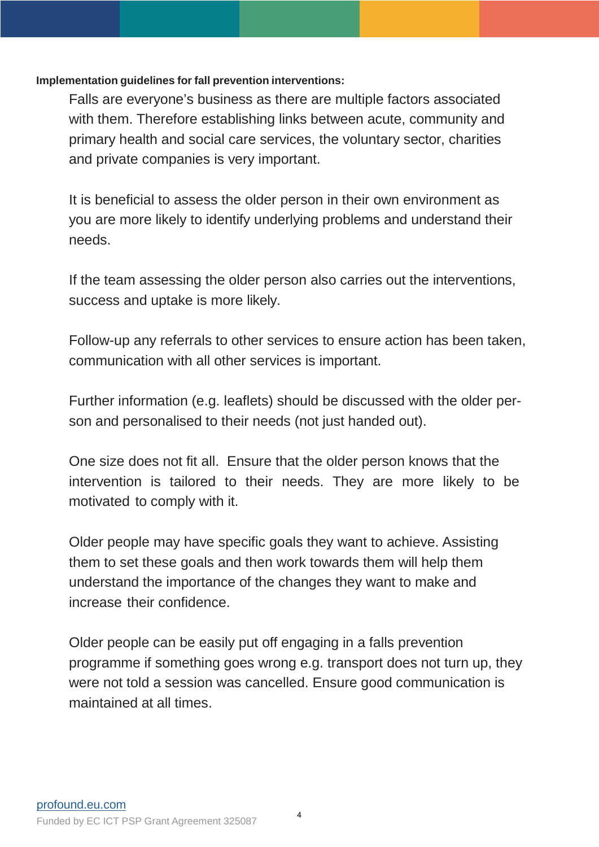## **Implementation guidelines for fall prevention interventions:**

Falls are everyone's business as there are multiple factors associated with them. Therefore establishing links between acute, community and primary health and social care services, the voluntary sector, charities and private companies is very important.

It is beneficial to assess the older person in their own environment as you are more likely to identify underlying problems and understand their needs.

If the team assessing the older person also carries out the interventions, success and uptake is more likely.

Follow-up any referrals to other services to ensure action has been taken, communication with all other services is important.

Further information (e.g. leaflets) should be discussed with the older person and personalised to their needs (not just handed out).

One size does not fit all. Ensure that the older person knows that the intervention is tailored to their needs. They are more likely to be motivated to comply with it.

Older people may have specific goals they want to achieve. Assisting them to set these goals and then work towards them will help them understand the importance of the changes they want to make and increase their confidence.

Older people can be easily put off engaging in a falls prevention programme if something goes wrong e.g. transport does not turn up, they were not told a session was cancelled. Ensure good communication is maintained at all times.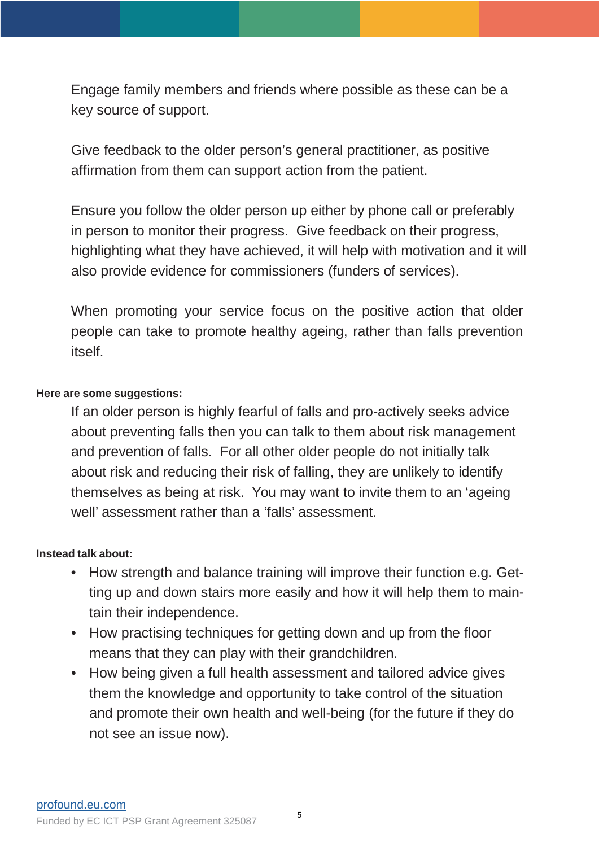Engage family members and friends where possible as these can be a key source of support.

Give feedback to the older person's general practitioner, as positive affirmation from them can support action from the patient.

Ensure you follow the older person up either by phone call or preferably in person to monitor their progress. Give feedback on their progress, highlighting what they have achieved, it will help with motivation and it will also provide evidence for commissioners (funders of services).

When promoting your service focus on the positive action that older people can take to promote healthy ageing, rather than falls prevention itself.

## **Here are some suggestions:**

If an older person is highly fearful of falls and pro-actively seeks advice about preventing falls then you can talk to them about risk management and prevention of falls. For all other older people do not initially talk about risk and reducing their risk of falling, they are unlikely to identify themselves as being at risk. You may want to invite them to an 'ageing well' assessment rather than a 'falls' assessment.

## **Instead talk about:**

- How strength and balance training will improve their function e.g. Getting up and down stairs more easily and how it will help them to maintain their independence.
- How practising techniques for getting down and up from the floor means that they can play with their grandchildren.
- How being given a full health assessment and tailored advice gives them the knowledge and opportunity to take control of the situation and promote their own health and well-being (for the future if they do not see an issue now).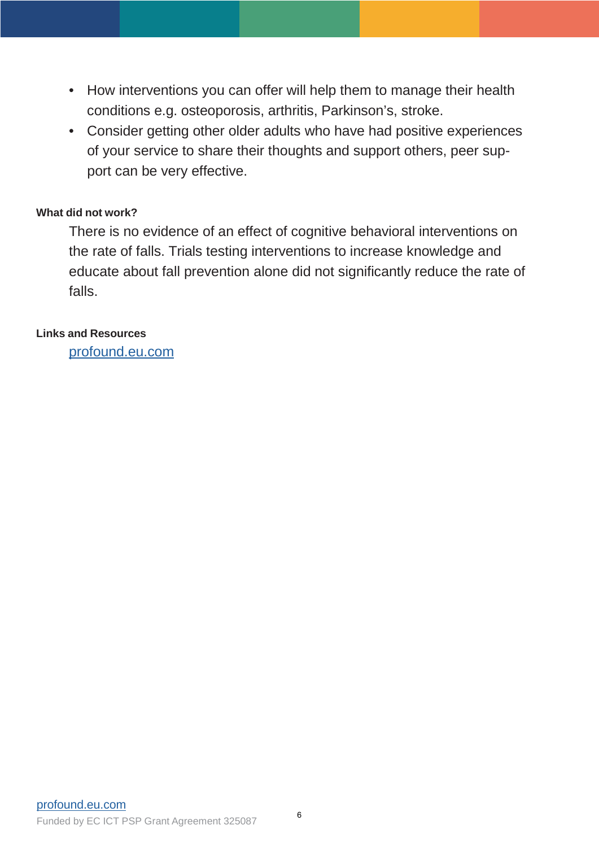- How interventions you can offer will help them to manage their health conditions e.g. osteoporosis, arthritis, Parkinson's, stroke.
- Consider getting other older adults who have had positive experiences of your service to share their thoughts and support others, peer support can be very effective.

## **What did not work?**

There is no evidence of an effect of cognitive behavioral interventions on the rate of falls. Trials testing interventions to increase knowledge and educate about fall prevention alone did not significantly reduce the rate of falls.

## **Links and Resources**

[profound.eu.com](http://profound.eu.com/)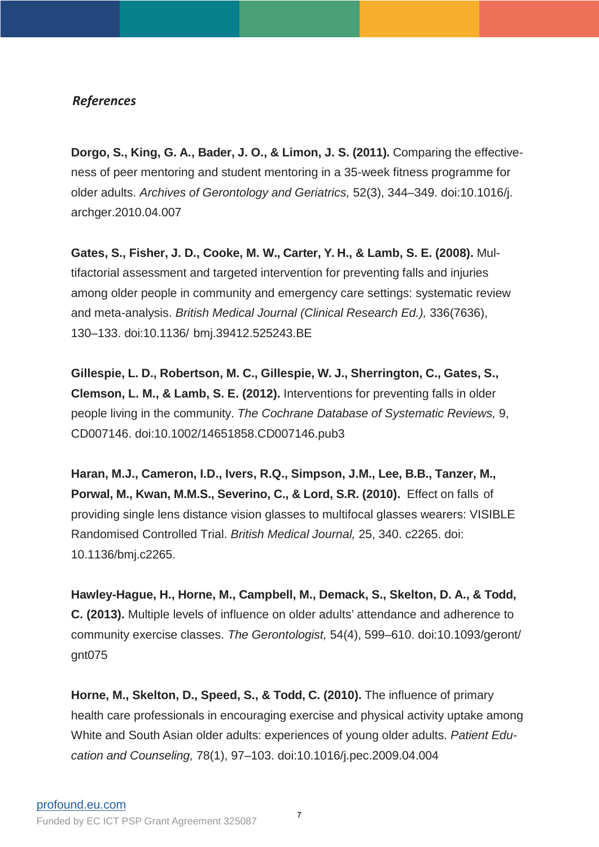## *References*

**Dorgo, S., King, G. A., Bader, J. O., & Limon, J. S. (2011).** Comparing the effectiveness of peer mentoring and student mentoring in a 35-week fitness programme for older adults. *Archives of Gerontology and Geriatrics,* 52(3), 344–349. doi:10.1016/j. archger.2010.04.007

**Gates, S., Fisher, J. D., Cooke, M. W., Carter, Y. H., & Lamb, S. E. (2008).** Multifactorial assessment and targeted intervention for preventing falls and injuries among older people in community and emergency care settings: systematic review and meta-analysis. *British Medical Journal (Clinical Research Ed.),* 336(7636), 130–133. doi:10.1136/ bmj.39412.525243.BE

**Gillespie, L. D., Robertson, M. C., Gillespie, W. J., Sherrington, C., Gates, S., Clemson, L. M., & Lamb, S. E. (2012).** Interventions for preventing falls in older people living in the community. *The Cochrane Database of Systematic Reviews,* 9, CD007146. doi:10.1002/14651858.CD007146.pub3

**Haran, M.J., Cameron, I.D., Ivers, R.Q., Simpson, J.M., Lee, B.B., Tanzer, M., Porwal, M., Kwan, M.M.S., Severino, C., & Lord, S.R. (2010).** Effect on falls of providing single lens distance vision glasses to multifocal glasses wearers: VISIBLE Randomised Controlled Trial. *British Medical Journal,* 25, 340. c2265. doi: 10.1136/bmj.c2265.

**Hawley-Hague, H., Horne, M., Campbell, M., Demack, S., Skelton, D. A., & Todd, C. (2013).** Multiple levels of influence on older adults' attendance and adherence to community exercise classes. *The Gerontologist,* 54(4), 599–610. doi:10.1093/geront/ gnt075

**Horne, M., Skelton, D., Speed, S., & Todd, C. (2010).** The influence of primary health care professionals in encouraging exercise and physical activity uptake among White and South Asian older adults: experiences of young older adults. *Patient Education and Counseling,* 78(1), 97–103. doi:10.1016/j.pec.2009.04.004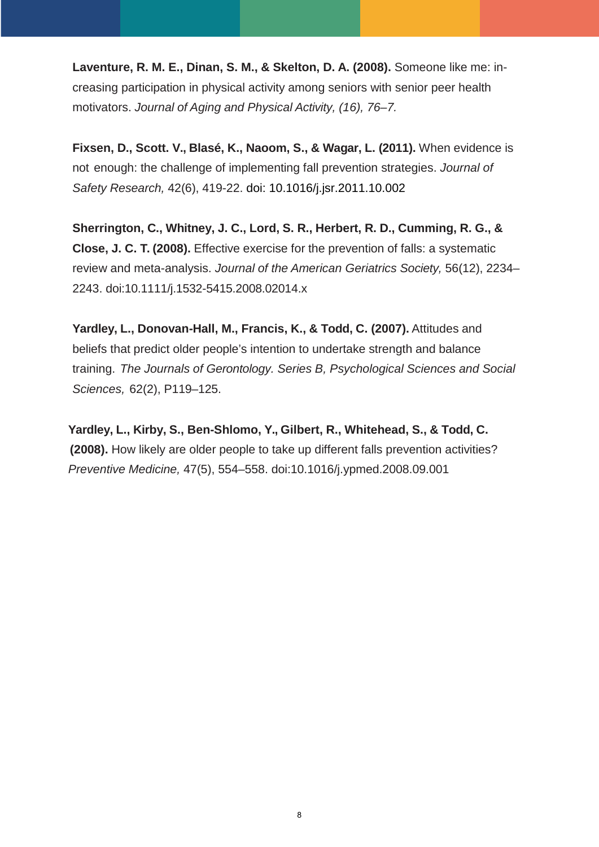**Laventure, R. M. E., Dinan, S. M., & Skelton, D. A. (2008).** Someone like me: increasing participation in physical activity among seniors with senior peer health motivators. *Journal of Aging and Physical Activity, (16), 76–7.*

**Fixsen, D., Scott. V., Blasé, K., Naoom, S., & Wagar, L. (2011).** When evidence is not enough: the challenge of implementing fall prevention strategies. *Journal of Safety Research,* 42(6), 419-22. doi: 10.1016/j.jsr.2011.10.002

**Sherrington, C., Whitney, J. C., Lord, S. R., Herbert, R. D., Cumming, R. G., & Close, J. C. T. (2008).** Effective exercise for the prevention of falls: a systematic review and meta-analysis. *Journal of the American Geriatrics Society,* 56(12), 2234– 2243. doi:10.1111/j.1532-5415.2008.02014.x

**Yardley, L., Donovan-Hall, M., Francis, K., & Todd, C. (2007).** Attitudes and beliefs that predict older people's intention to undertake strength and balance training. *The Journals of Gerontology. Series B, Psychological Sciences and Social Sciences,* 62(2), P119–125.

 **Yardley, L., Kirby, S., Ben-Shlomo, Y., Gilbert, R., Whitehead, S., & Todd, C. (2008).** How likely are older people to take up different falls prevention activities? *Preventive Medicine,* 47(5), 554–558. doi:10.1016/j.ypmed.2008.09.001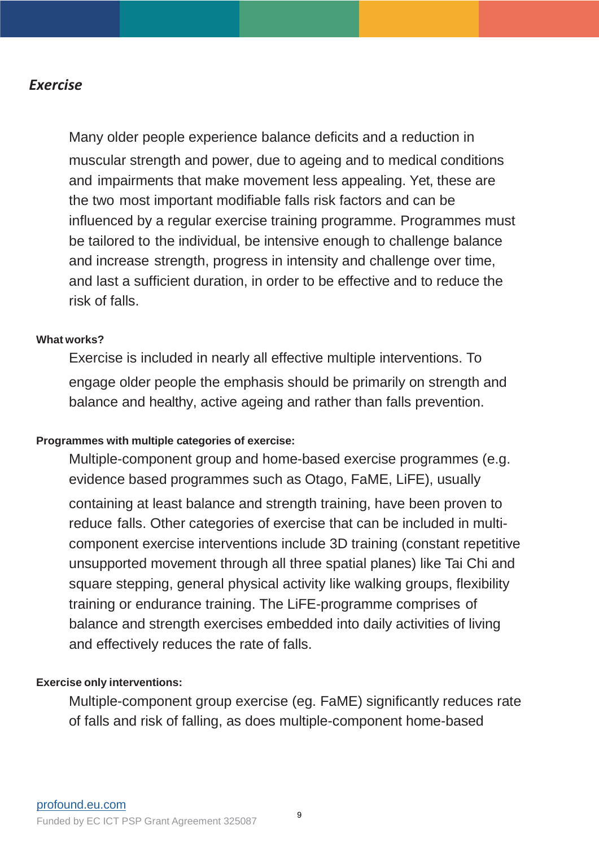# *Exercise*

Many older people experience balance deficits and a reduction in muscular strength and power, due to ageing and to medical conditions and impairments that make movement less appealing. Yet, these are the two most important modifiable falls risk factors and can be influenced by a regular exercise training programme. Programmes must be tailored to the individual, be intensive enough to challenge balance and increase strength, progress in intensity and challenge over time, and last a sufficient duration, in order to be effective and to reduce the risk of falls.

## **What works?**

Exercise is included in nearly all effective multiple interventions. To engage older people the emphasis should be primarily on strength and balance and healthy, active ageing and rather than falls prevention.

## **Programmes with multiple categories of exercise:**

Multiple-component group and home-based exercise programmes (e.g. evidence based programmes such as Otago, FaME, LiFE), usually containing at least balance and strength training, have been proven to reduce falls. Other categories of exercise that can be included in multicomponent exercise interventions include 3D training (constant repetitive unsupported movement through all three spatial planes) like Tai Chi and square stepping, general physical activity like walking groups, flexibility training or endurance training. The LiFE-programme comprises of balance and strength exercises embedded into daily activities of living and effectively reduces the rate of falls.

## **Exercise only interventions:**

Multiple-component group exercise (eg. FaME) significantly reduces rate of falls and risk of falling, as does multiple-component home-based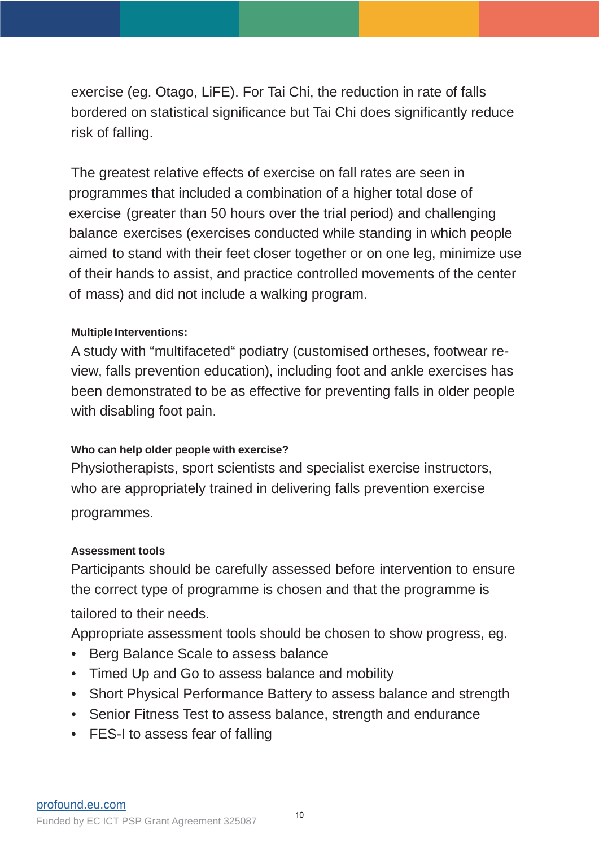exercise (eg. Otago, LiFE). For Tai Chi, the reduction in rate of falls bordered on statistical significance but Tai Chi does significantly reduce risk of falling.

The greatest relative effects of exercise on fall rates are seen in programmes that included a combination of a higher total dose of exercise (greater than 50 hours over the trial period) and challenging balance exercises (exercises conducted while standing in which people aimed to stand with their feet closer together or on one leg, minimize use of their hands to assist, and practice controlled movements of the center of mass) and did not include a walking program.

## **Multiple Interventions:**

A study with "multifaceted" podiatry (customised ortheses, footwear review, falls prevention education), including foot and ankle exercises has been demonstrated to be as effective for preventing falls in older people with disabling foot pain.

# **Who can help older people with exercise?**

Physiotherapists, sport scientists and specialist exercise instructors, who are appropriately trained in delivering falls prevention exercise programmes.

## **Assessment tools**

Participants should be carefully assessed before intervention to ensure the correct type of programme is chosen and that the programme is tailored to their needs.

Appropriate assessment tools should be chosen to show progress, eg.

- Berg Balance Scale to assess balance
- Timed Up and Go to assess balance and mobility
- Short Physical Performance Battery to assess balance and strength
- Senior Fitness Test to assess balance, strength and endurance
- FES-I to assess fear of falling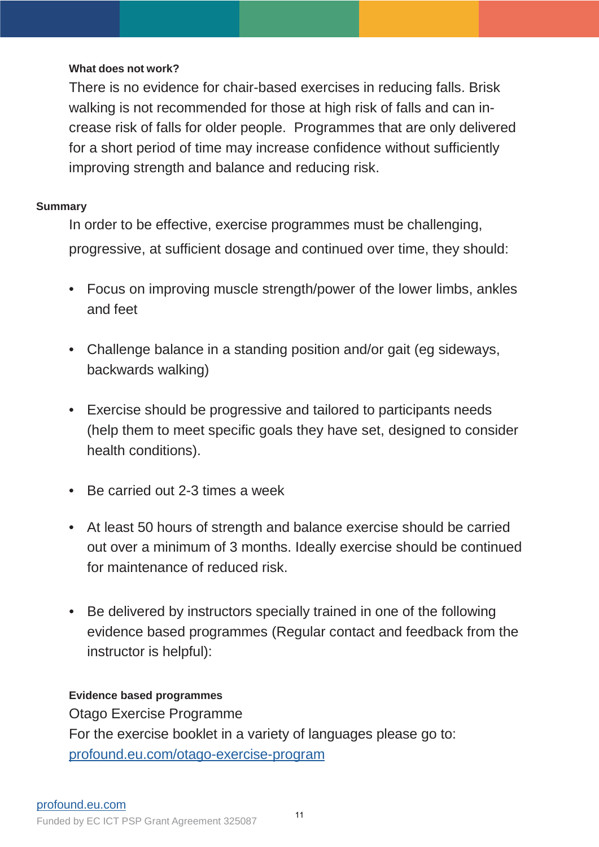## **What does not work?**

There is no evidence for chair-based exercises in reducing falls. Brisk walking is not recommended for those at high risk of falls and can increase risk of falls for older people. Programmes that are only delivered for a short period of time may increase confidence without sufficiently improving strength and balance and reducing risk.

## **Summary**

In order to be effective, exercise programmes must be challenging, progressive, at sufficient dosage and continued over time, they should:

- Focus on improving muscle strength/power of the lower limbs, ankles and feet
- Challenge balance in a standing position and/or gait (eg sideways, backwards walking)
- Exercise should be progressive and tailored to participants needs (help them to meet specific goals they have set, designed to consider health conditions).
- Be carried out 2-3 times a week
- At least 50 hours of strength and balance exercise should be carried out over a minimum of 3 months. Ideally exercise should be continued for maintenance of reduced risk.
- Be delivered by instructors specially trained in one of the following evidence based programmes (Regular contact and feedback from the instructor is helpful):

## **Evidence based programmes**

Otago Exercise Programme For the exercise booklet in a variety of languages please go to: p[rofound.eu.com/otago-exercise-program](http://profound.eu.com/otago-exercise-program)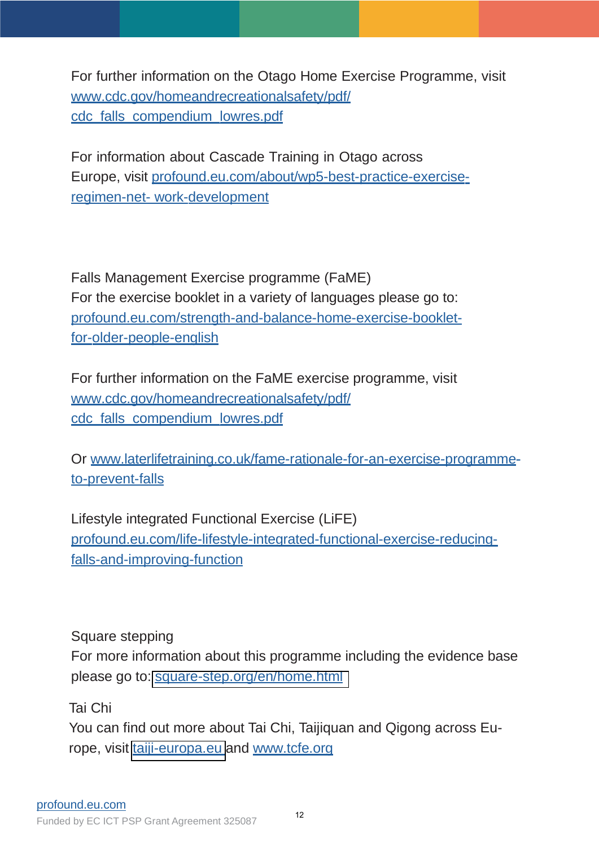For further information on the Otago Home Exercise Programme, visit [www.cdc.gov/homeandrecreationalsafety/pdf/](www.cdc.gov/homeandrecreationalsafety/pdf/cdc_falls_compendium_lowres.pdf) cdc falls\_compendium\_lowres.pdf

For information about Cascade Training in Otago across Europe, visit [profound.eu.com/about/wp5-best-practice-exercise](http://profound.eu.com/about/wp5-best-practice-exercise-regimen-net-)regimen-net- work-development

Falls Management Exercise programme (FaME) For the exercise booklet in a variety of languages please go to: [profound.eu.com/strength-and-balance-home-exercise-booklet](profound.eu.com/strength-and-balance-home-exercise-booklet-for-older-people-english)for-older-people-english

For further information on the FaME exercise programme, visit [www.cdc.gov/homeandrecreationalsafety/pdf/](www.cdc.gov/homeandrecreationalsafety/pdf/cdc_falls_compendium_lowres.pdf) cdc\_falls\_compendium\_lowres.pdf

Or [www.laterlifetraining.co.uk/fame-rationale-for-an-exercise-programme](www.laterlifetraining.co.uk/fame-rationale-for-an-exercise-programme-to-prevent-falls)to-prevent-falls

Lifestyle integrated Functional Exercise (LiFE) [profound.eu.com/life-lifestyle-integrated-functional-exercise-reducing](profound.eu.com/life-lifestyle-integrated-functional-exercise-reducing-falls-and-improving-function)falls-and-improving-function

Square stepping

For more information about this programme including the evidence base please go to: [square-step.org/en/home.html](http://square-step.org/en/home.html)

Tai Chi

You can find out more about Tai Chi, Taijiquan and Qigong across Europe, visit [taiji-europa.eu](http://taiji-europa.eu) and [www.tcfe.org](http://www.tcfe.org/)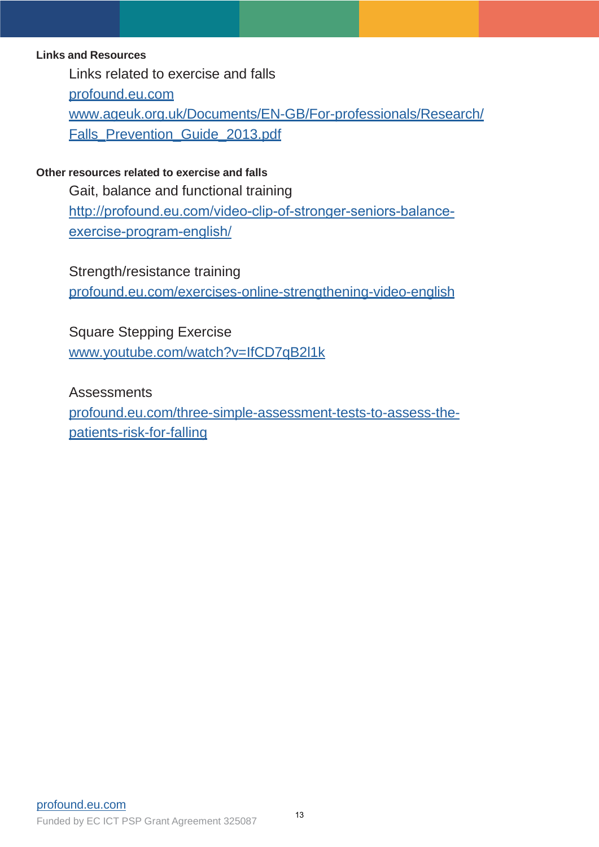## **Links and Resources**

Links related to exercise and falls

[profound.eu.com](http://profound.eu.com/)

[www.ageuk.org.uk/Documents/EN-GB/For-professionals/Research/](www.ageuk.org.uk/Documents/EN-GB/For-professionals/Research/Falls_Prevention_Guide_2013.pdf) Falls\_Prevention\_Guide\_2013.pdf

## **Other resources related to exercise and falls**

Gait, balance and functional training [http://profound.eu.com/video-clip-of-stronger-seniors-balance](http://profound.eu.com/video-clip-of-stronger-seniors-balance-exercise-program-english/)exercise-program-english/

Strength/resistance training [profound.eu.com/exercises-online-strengthening-video-english](http://profound.eu.com/exercises-online-strengthening-video-english)

Square Stepping Exercise [www.youtube.com/watch?v=IfCD7qB2l1k](http://www.youtube.com/watch?v=IfCD7qB2l1k)

**Assessments** [profound.eu.com/three-simple-assessment-tests-to-assess-the](profound.eu.com/three-simple-assessment-tests-to-assess-the-patients-risk-for-falling)patients-risk-for-falling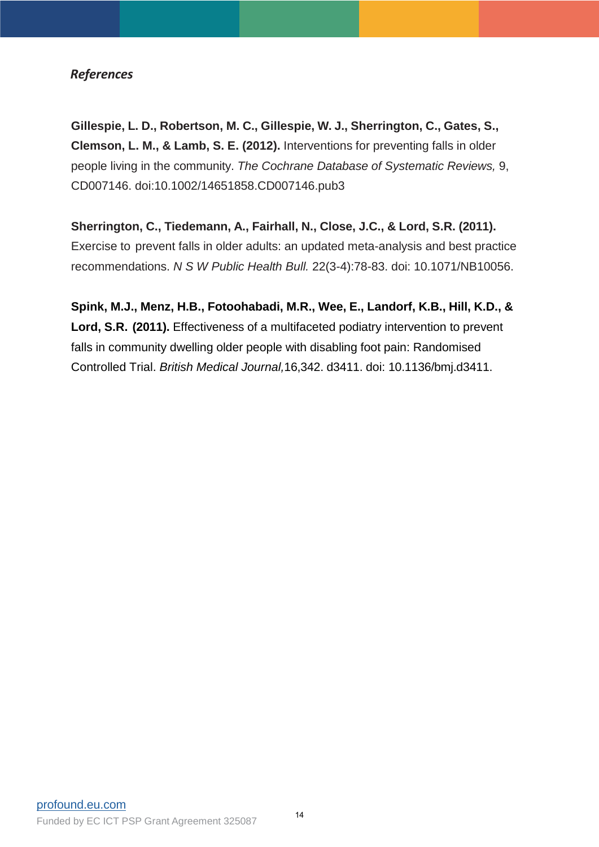## *References*

**Gillespie, L. D., Robertson, M. C., Gillespie, W. J., Sherrington, C., Gates, S., Clemson, L. M., & Lamb, S. E. (2012).** Interventions for preventing falls in older people living in the community. *The Cochrane Database of Systematic Reviews,* 9, CD007146. doi:10.1002/14651858.CD007146.pub3

**Sherrington, C., Tiedemann, A., Fairhall, N., Close, J.C., & Lord, S.R. (2011).** Exercise to prevent falls in older adults: an updated meta-analysis and best practice recommendations. *N S W Public Health Bull.* 22(3-4):78-83. doi: 10.1071/NB10056.

**Spink, M.J., Menz, H.B., Fotoohabadi, M.R., Wee, E., Landorf, K.B., Hill, K.D., & Lord, S.R. (2011).** Effectiveness of a multifaceted podiatry intervention to prevent falls in community dwelling older people with disabling foot pain: Randomised Controlled Trial. *British Medical Journal,*16,342. d3411. doi: 10.1136/bmj.d3411.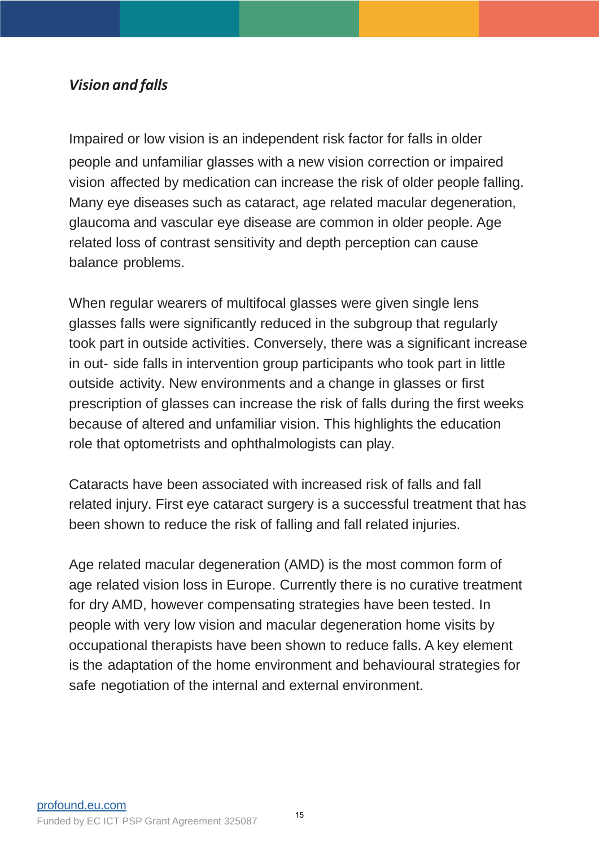# *Vision and falls*

Impaired or low vision is an independent risk factor for falls in older people and unfamiliar glasses with a new vision correction or impaired vision affected by medication can increase the risk of older people falling. Many eye diseases such as cataract, age related macular degeneration, glaucoma and vascular eye disease are common in older people. Age related loss of contrast sensitivity and depth perception can cause balance problems.

When regular wearers of multifocal glasses were given single lens glasses falls were significantly reduced in the subgroup that regularly took part in outside activities. Conversely, there was a significant increase in out- side falls in intervention group participants who took part in little outside activity. New environments and a change in glasses or first prescription of glasses can increase the risk of falls during the first weeks because of altered and unfamiliar vision. This highlights the education role that optometrists and ophthalmologists can play.

Cataracts have been associated with increased risk of falls and fall related injury. First eye cataract surgery is a successful treatment that has been shown to reduce the risk of falling and fall related injuries.

Age related macular degeneration (AMD) is the most common form of age related vision loss in Europe. Currently there is no curative treatment for dry AMD, however compensating strategies have been tested. In people with very low vision and macular degeneration home visits by occupational therapists have been shown to reduce falls. A key element is the adaptation of the home environment and behavioural strategies for safe negotiation of the internal and external environment.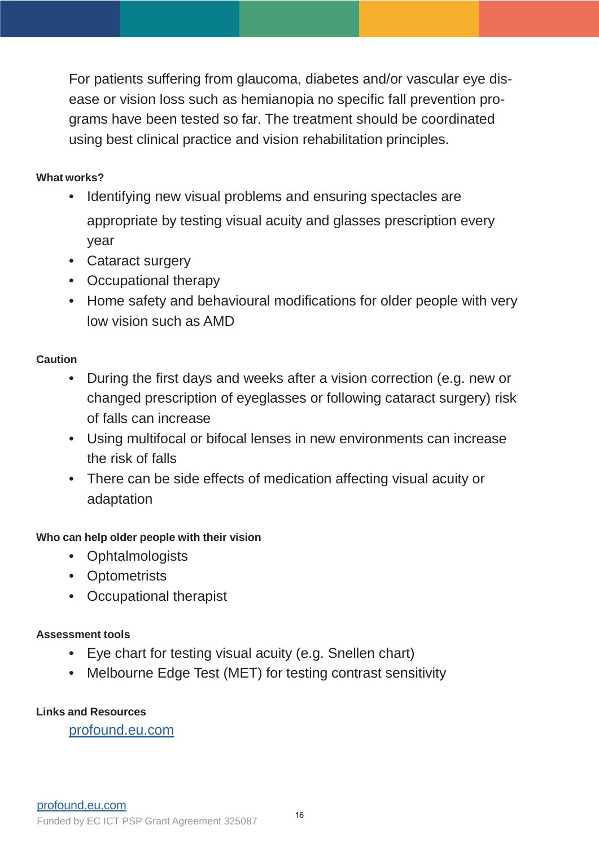For patients suffering from glaucoma, diabetes and/or vascular eye disease or vision loss such as hemianopia no specific fall prevention programs have been tested so far. The treatment should be coordinated using best clinical practice and vision rehabilitation principles.

# **What works?**

- Identifying new visual problems and ensuring spectacles are appropriate by testing visual acuity and glasses prescription every year
- Cataract surgery
- Occupational therapy
- Home safety and behavioural modifications for older people with very low vision such as AMD

# **Caution**

- During the first days and weeks after a vision correction (e.g. new or changed prescription of eyeglasses or following cataract surgery) risk of falls can increase
- Using multifocal or bifocal lenses in new environments can increase the risk of falls
- There can be side effects of medication affecting visual acuity or adaptation

# **Who can help older people with their vision**

- Ophtalmologists
- Optometrists
- Occupational therapist

# **Assessment tools**

- Eye chart for testing visual acuity (e.g. Snellen chart)
- Melbourne Edge Test (MET) for testing contrast sensitivity

# **Links and Resources**

[profound.eu.com](http://profound.eu.com/)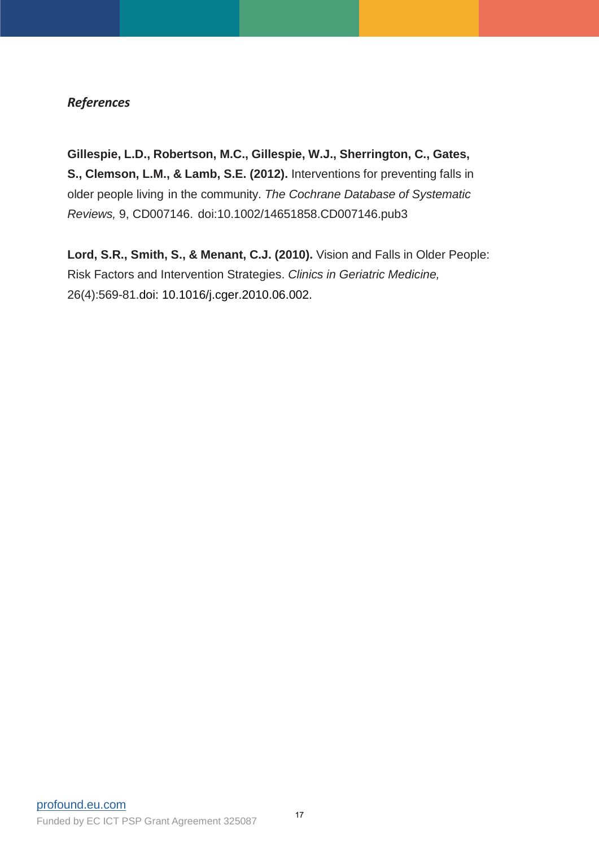## *References*

**Gillespie, L.D., Robertson, M.C., Gillespie, W.J., Sherrington, C., Gates, S., Clemson, L.M., & Lamb, S.E. (2012).** Interventions for preventing falls in older people living in the community. *The Cochrane Database of Systematic Reviews,* 9, CD007146. doi:10.1002/14651858.CD007146.pub3

**Lord, S.R., Smith, S., & Menant, C.J. (2010).** Vision and Falls in Older People: Risk Factors and Intervention Strategies. *Clinics in Geriatric Medicine,* 26(4):569-81.doi: 10.1016/j.cger.2010.06.002.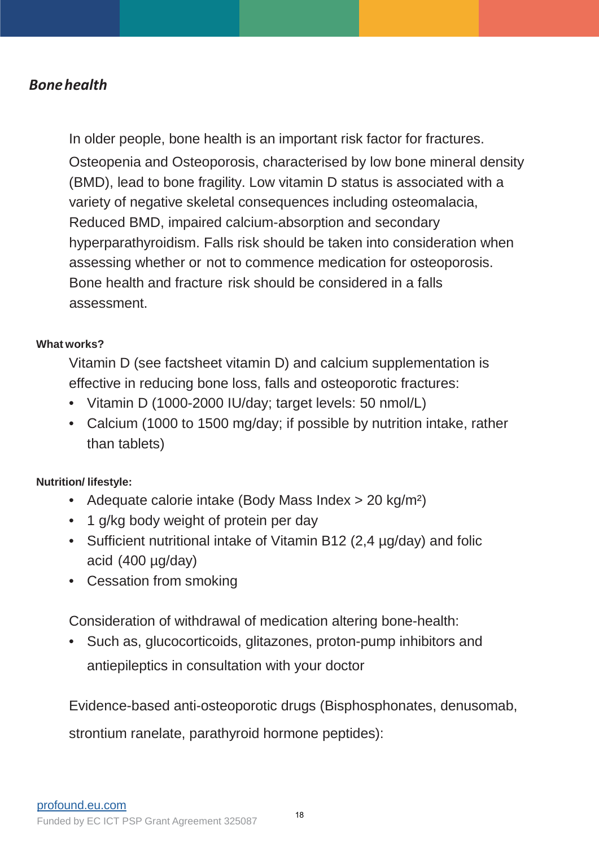# *Bonehealth*

In older people, bone health is an important risk factor for fractures. Osteopenia and Osteoporosis, characterised by low bone mineral density (BMD), lead to bone fragility. Low vitamin D status is associated with a variety of negative skeletal consequences including osteomalacia, Reduced BMD, impaired calcium-absorption and secondary hyperparathyroidism. Falls risk should be taken into consideration when assessing whether or not to commence medication for osteoporosis. Bone health and fracture risk should be considered in a falls assessment.

## **What works?**

Vitamin D (see factsheet vitamin D) and calcium supplementation is effective in reducing bone loss, falls and osteoporotic fractures:

- Vitamin D (1000-2000 IU/day; target levels: 50 nmol/L)
- Calcium (1000 to 1500 mg/day; if possible by nutrition intake, rather than tablets)

# **Nutrition/ lifestyle:**

- Adequate calorie intake (Body Mass Index > 20 kg/m<sup>2</sup>)
- 1 g/kg body weight of protein per day
- Sufficient nutritional intake of Vitamin B12 (2,4 µg/day) and folic acid (400 µg/day)
- Cessation from smoking

Consideration of withdrawal of medication altering bone-health:

• Such as, glucocorticoids, glitazones, proton-pump inhibitors and antiepileptics in consultation with your doctor

Evidence-based anti-osteoporotic drugs (Bisphosphonates, denusomab,

strontium ranelate, parathyroid hormone peptides):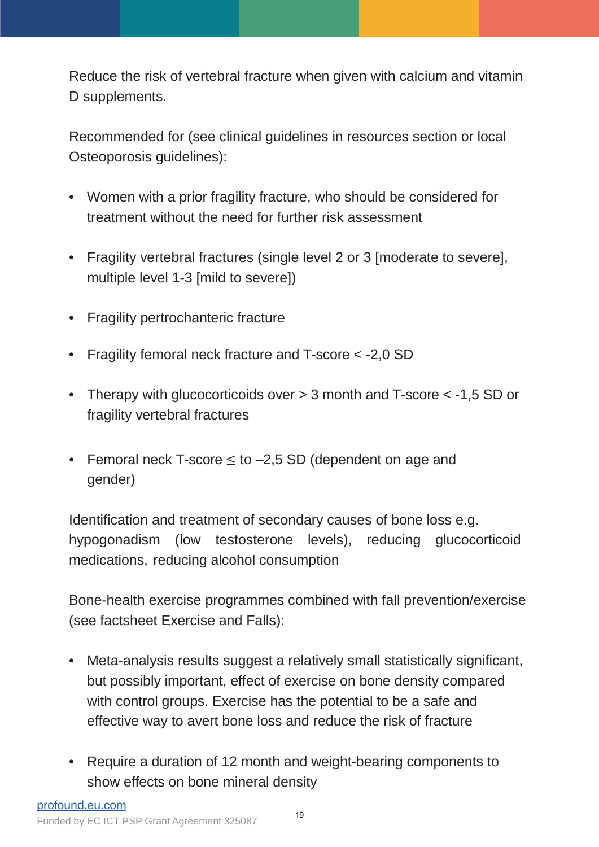Reduce the risk of vertebral fracture when given with calcium and vitamin D supplements.

Recommended for (see clinical guidelines in resources section or local Osteoporosis guidelines):

- Women with a prior fragility fracture, who should be considered for treatment without the need for further risk assessment
- Fragility vertebral fractures (single level 2 or 3 [moderate to severe], multiple level 1-3 [mild to severe])
- Fragility pertrochanteric fracture
- Fragility femoral neck fracture and T-score < -2,0 SD
- Therapy with glucocorticoids over  $>$  3 month and T-score  $<$  -1,5 SD or fragility vertebral fractures
- Femoral neck T-score  $\leq$  to  $-2.5$  SD (dependent on age and gender)

Identification and treatment of secondary causes of bone loss e.g. hypogonadism (low testosterone levels), reducing glucocorticoid medications, reducing alcohol consumption

Bone-health exercise programmes combined with fall prevention/exercise (see factsheet Exercise and Falls):

- Meta-analysis results suggest a relatively small statistically significant, but possibly important, effect of exercise on bone density compared with control groups. Exercise has the potential to be a safe and effective way to avert bone loss and reduce the risk of fracture
- Require a duration of 12 month and weight-bearing components to show effects on bone mineral density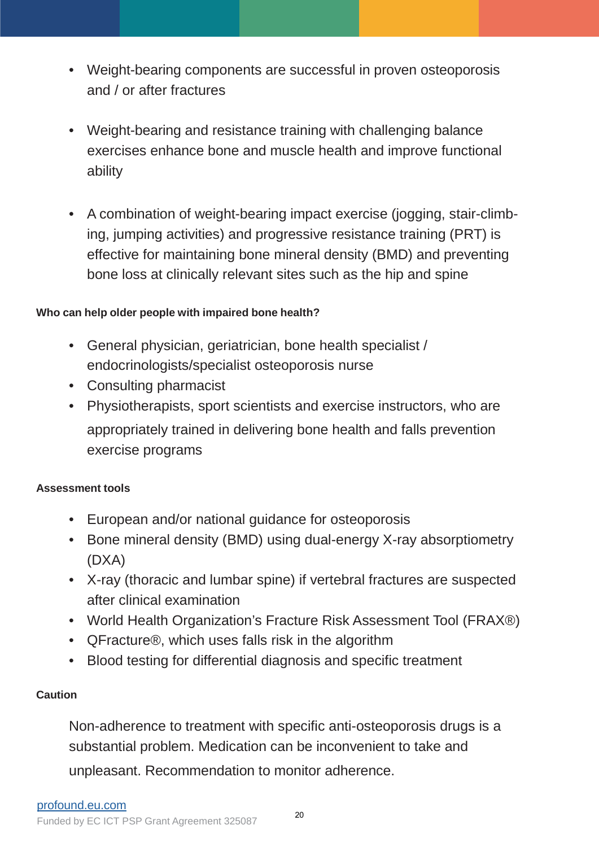- Weight-bearing components are successful in proven osteoporosis and / or after fractures
- Weight-bearing and resistance training with challenging balance exercises enhance bone and muscle health and improve functional ability
- A combination of weight-bearing impact exercise (jogging, stair-climbing, jumping activities) and progressive resistance training (PRT) is effective for maintaining bone mineral density (BMD) and preventing bone loss at clinically relevant sites such as the hip and spine

# **Who can help older people with impaired bone health?**

- General physician, geriatrician, bone health specialist / endocrinologists/specialist osteoporosis nurse
- Consulting pharmacist
- Physiotherapists, sport scientists and exercise instructors, who are appropriately trained in delivering bone health and falls prevention exercise programs

# **Assessment tools**

- European and/or national guidance for osteoporosis
- Bone mineral density (BMD) using dual-energy X-ray absorptiometry (DXA)
- X-ray (thoracic and lumbar spine) if vertebral fractures are suspected after clinical examination
- World Health Organization's Fracture Risk Assessment Tool (FRAX®)
- QFracture<sup>®</sup>, which uses falls risk in the algorithm
- Blood testing for differential diagnosis and specific treatment

# **Caution**

Non-adherence to treatment with specific anti-osteoporosis drugs is a substantial problem. Medication can be inconvenient to take and unpleasant. Recommendation to monitor adherence.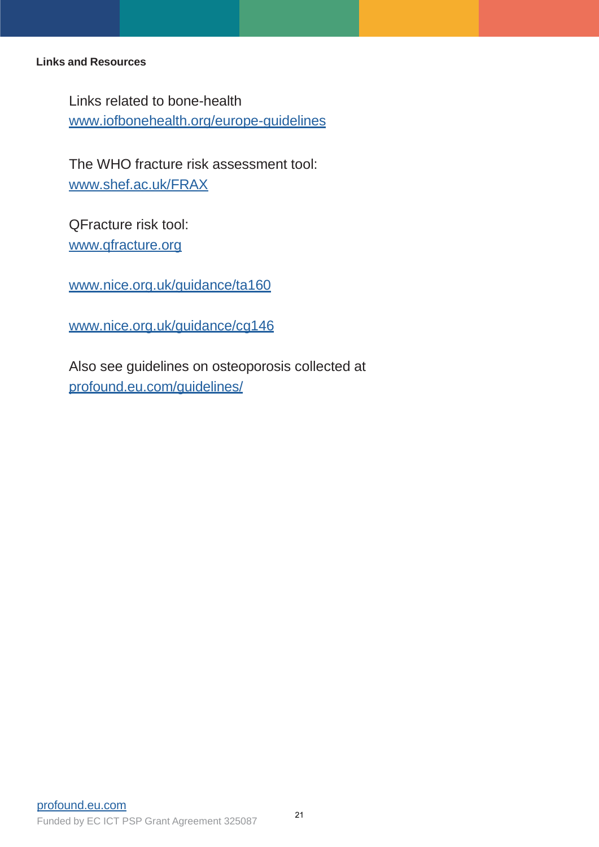## **Links and Resources**

Links related to bone-health [www.iofbonehealth.org/europe-guidelines](http://www.iofbonehealth.org/europe-guidelines)

The WHO fracture risk assessment tool: [www.shef.ac.uk/FRAX](http://www.shef.ac.uk/FRAX)

QFracture risk tool: [www.qfracture.org](http://www.qfracture.org/)

[www.nice.org.uk/guidance/ta160](http://www.nice.org.uk/guidance/ta160)

[www.nice.org.uk/guidance/cg146](http://www.nice.org.uk/guidance/cg146)

Also see guidelines on osteoporosis collected at p[rofound.eu.com/guidelines/](http://profound.eu.com/guidelines/)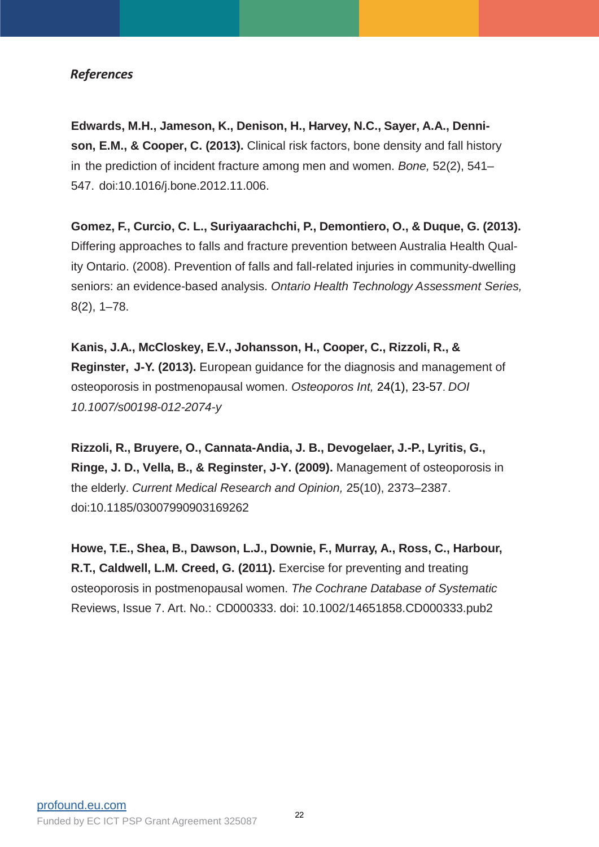## *References*

**Edwards, M.H., Jameson, K., Denison, H., Harvey, N.C., Sayer, A.A., Dennison, E.M., & Cooper, C. (2013).** Clinical risk factors, bone density and fall history in the prediction of incident fracture among men and women. *Bone,* 52(2), 541– 547. doi:10.1016/j.bone.2012.11.006.

**Gomez, F., Curcio, C. L., Suriyaarachchi, P., Demontiero, O., & Duque, G. (2013).**  Differing approaches to falls and fracture prevention between Australia Health Quality Ontario. (2008). Prevention of falls and fall-related injuries in community-dwelling seniors: an evidence-based analysis. *Ontario Health Technology Assessment Series,* 8(2), 1–78.

**Kanis, J.A., McCloskey, E.V., Johansson, H., Cooper, C., Rizzoli, R., & Reginster, J-Y. (2013).** European guidance for the diagnosis and management of osteoporosis in postmenopausal women. *Osteoporos Int,* 24(1), 23-57. *DOI 10.1007/s00198-012-2074-y*

**Rizzoli, R., Bruyere, O., Cannata-Andia, J. B., Devogelaer, J.-P., Lyritis, G., Ringe, J. D., Vella, B., & Reginster, J-Y. (2009).** Management of osteoporosis in the elderly. *Current Medical Research and Opinion,* 25(10), 2373–2387. doi:10.1185/03007990903169262

**Howe, T.E., Shea, B., Dawson, L.J., Downie, F., Murray, A., Ross, C., Harbour, R.T., Caldwell, L.M. Creed, G. (2011).** Exercise for preventing and treating osteoporosis in postmenopausal women. *The Cochrane Database of Systematic*  Reviews, Issue 7. Art. No.: CD000333. doi: 10.1002/14651858.CD000333.pub2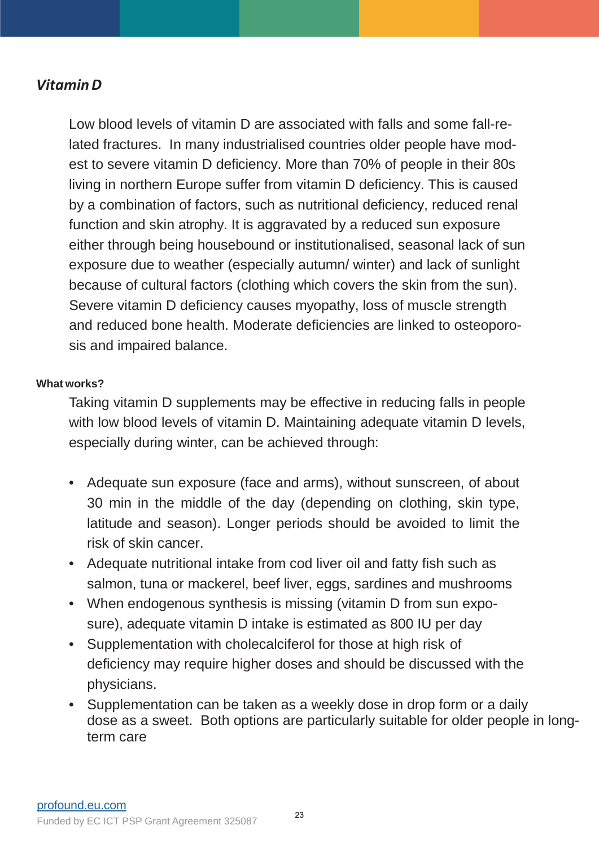# *Vitamin D*

Low blood levels of vitamin D are associated with falls and some fall-related fractures. In many industrialised countries older people have modest to severe vitamin D deficiency. More than 70% of people in their 80s living in northern Europe suffer from vitamin D deficiency. This is caused by a combination of factors, such as nutritional deficiency, reduced renal function and skin atrophy. It is aggravated by a reduced sun exposure either through being housebound or institutionalised, seasonal lack of sun exposure due to weather (especially autumn/ winter) and lack of sunlight because of cultural factors (clothing which covers the skin from the sun). Severe vitamin D deficiency causes myopathy, loss of muscle strength and reduced bone health. Moderate deficiencies are linked to osteoporosis and impaired balance.

## **What works?**

Taking vitamin D supplements may be effective in reducing falls in people with low blood levels of vitamin D. Maintaining adequate vitamin D levels, especially during winter, can be achieved through:

- Adequate sun exposure (face and arms), without sunscreen, of about 30 min in the middle of the day (depending on clothing, skin type, latitude and season). Longer periods should be avoided to limit the risk of skin cancer.
- Adequate nutritional intake from cod liver oil and fatty fish such as salmon, tuna or mackerel, beef liver, eggs, sardines and mushrooms
- When endogenous synthesis is missing (vitamin D from sun exposure), adequate vitamin D intake is estimated as 800 IU per day
- Supplementation with cholecalciferol for those at high risk of deficiency may require higher doses and should be discussed with the physicians.
- Supplementation can be taken as a weekly dose in drop form or a daily dose as a sweet. Both options are particularly suitable for older people in longterm care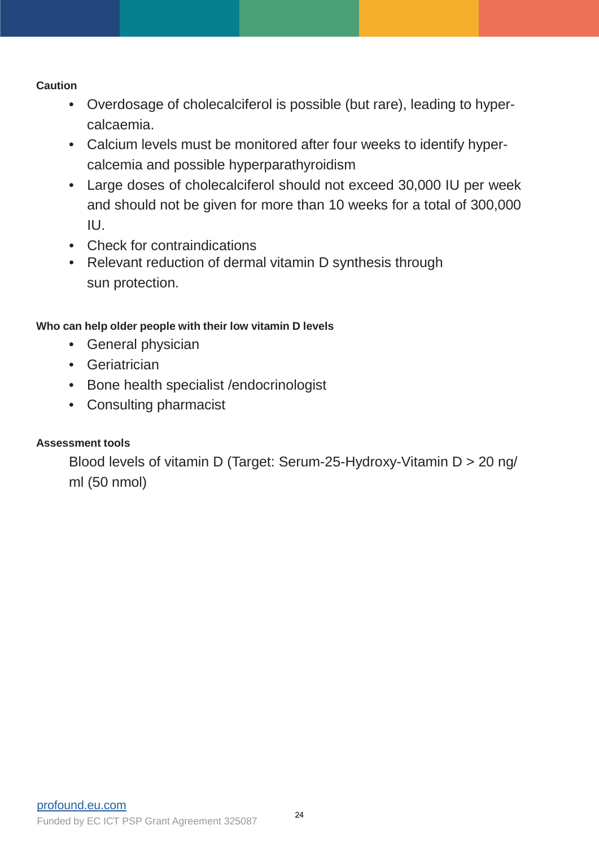## **Caution**

- Overdosage of cholecalciferol is possible (but rare), leading to hypercalcaemia.
- Calcium levels must be monitored after four weeks to identify hypercalcemia and possible hyperparathyroidism
- Large doses of cholecalciferol should not exceed 30,000 IU per week and should not be given for more than 10 weeks for a total of 300,000 IU.
- Check for contraindications
- Relevant reduction of dermal vitamin D synthesis through sun protection.

# **Who can help older people with their low vitamin D levels**

- General physician
- Geriatrician
- Bone health specialist /endocrinologist
- Consulting pharmacist

# **Assessment tools**

Blood levels of vitamin D (Target: Serum-25-Hydroxy-Vitamin D > 20 ng/ ml (50 nmol)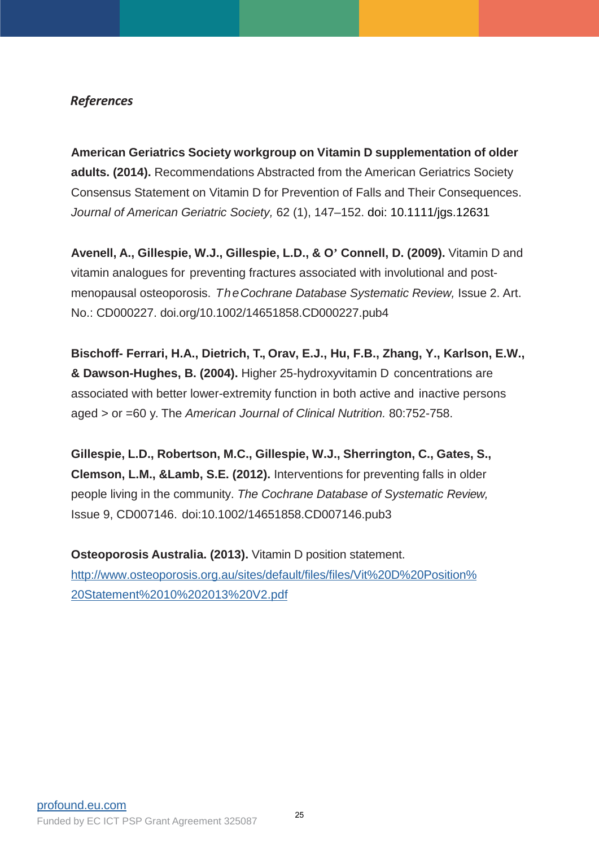## *References*

**American Geriatrics Society workgroup on Vitamin D supplementation of older adults. (2014).** Recommendations Abstracted from the American Geriatrics Society Consensus Statement on Vitamin D for Prevention of Falls and Their Consequences. *Journal of American Geriatric Society,* 62 (1), 147–152. doi: 10.1111/jgs.12631

**Avenell, A., Gillespie, W.J., Gillespie, L.D., & O' Connell, D. (2009).** Vitamin D and vitamin analogues for preventing fractures associated with involutional and postmenopausal osteoporosis. *TheCochrane Database Systematic Review,* Issue 2. Art. No.: CD000227. doi.org/10.1002/14651858.CD000227.pub4

**Bischoff- Ferrari, H.A., Dietrich, T., Orav, E.J., Hu, F.B., Zhang, Y., Karlson, E.W., & Dawson-Hughes, B. (2004).** Higher 25-hydroxyvitamin D concentrations are associated with better lower-extremity function in both active and inactive persons aged > or =60 y. The *American Journal of Clinical Nutrition.* 80:752-758.

**Gillespie, L.D., Robertson, M.C., Gillespie, W.J., Sherrington, C., Gates, S., Clemson, L.M., &Lamb, S.E. (2012).** Interventions for preventing falls in older people living in the community. *The Cochrane Database of Systematic Review,*  Issue 9, CD007146. doi:10.1002/14651858.CD007146.pub3

**Osteoporosis Australia. (2013).** Vitamin D position statement. [http://www.osteoporosis.org.au/sites/default/files/files/Vit%20D%20Position%](http://www.osteoporosis.org.au/sites/default/files/files/Vit%20D%20Position%20Statement%2010%202013%20V2.pdf) 20Statement%2010%202013%20V2.pdf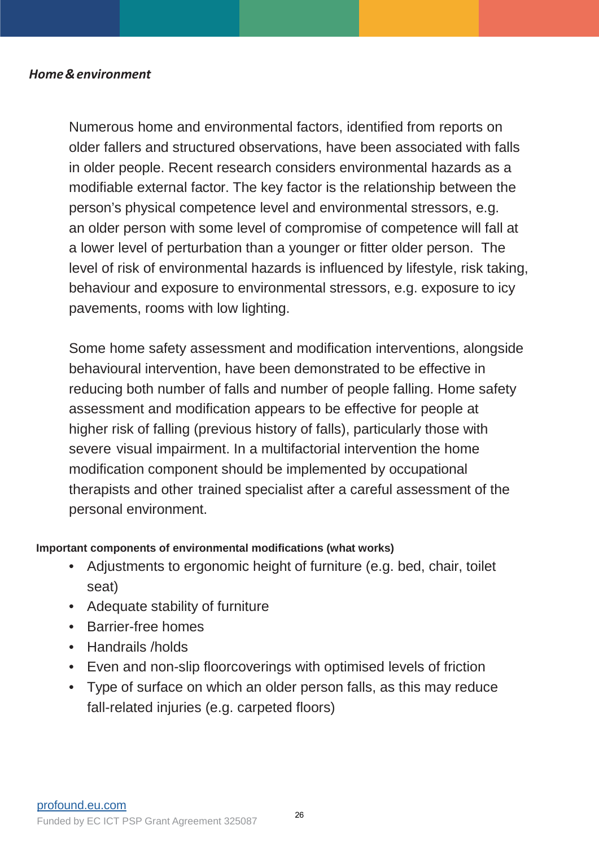## *Home & environment*

Numerous home and environmental factors, identified from reports on older fallers and structured observations, have been associated with falls in older people. Recent research considers environmental hazards as a modifiable external factor. The key factor is the relationship between the person's physical competence level and environmental stressors, e.g. an older person with some level of compromise of competence will fall at a lower level of perturbation than a younger or fitter older person. The level of risk of environmental hazards is influenced by lifestyle, risk taking, behaviour and exposure to environmental stressors, e.g. exposure to icy pavements, rooms with low lighting.

Some home safety assessment and modification interventions, alongside behavioural intervention, have been demonstrated to be effective in reducing both number of falls and number of people falling. Home safety assessment and modification appears to be effective for people at higher risk of falling (previous history of falls), particularly those with severe visual impairment. In a multifactorial intervention the home modification component should be implemented by occupational therapists and other trained specialist after a careful assessment of the personal environment.

## **Important components of environmental modifications (what works)**

- Adjustments to ergonomic height of furniture (e.g. bed, chair, toilet seat)
- Adequate stability of furniture
- Barrier-free homes
- Handrails /holds
- Even and non-slip floorcoverings with optimised levels of friction
- Type of surface on which an older person falls, as this may reduce fall-related injuries (e.g. carpeted floors)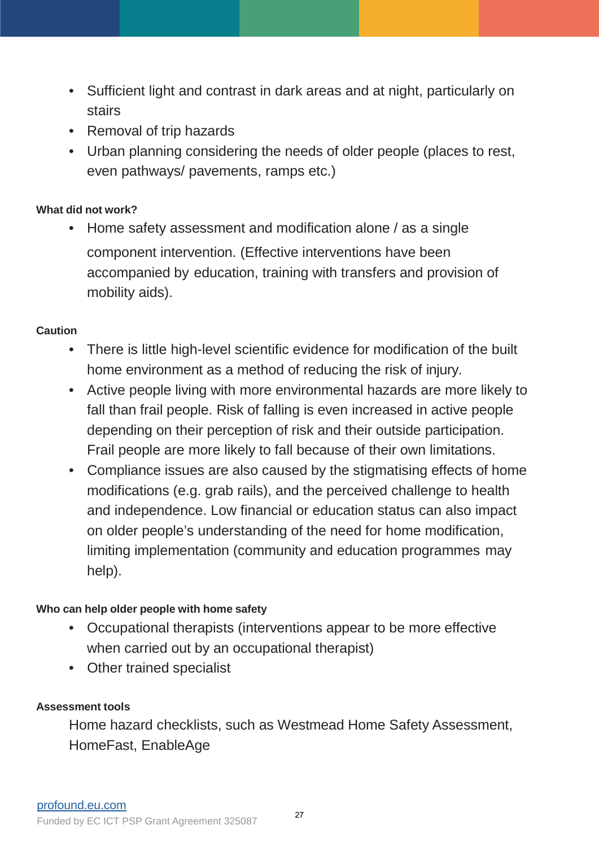- Sufficient light and contrast in dark areas and at night, particularly on stairs
- Removal of trip hazards
- Urban planning considering the needs of older people (places to rest, even pathways/ pavements, ramps etc.)

## **What did not work?**

• Home safety assessment and modification alone / as a single component intervention. (Effective interventions have been accompanied by education, training with transfers and provision of mobility aids).

# **Caution**

- There is little high-level scientific evidence for modification of the built home environment as a method of reducing the risk of injury.
- Active people living with more environmental hazards are more likely to fall than frail people. Risk of falling is even increased in active people depending on their perception of risk and their outside participation. Frail people are more likely to fall because of their own limitations.
- Compliance issues are also caused by the stigmatising effects of home modifications (e.g. grab rails), and the perceived challenge to health and independence. Low financial or education status can also impact on older people's understanding of the need for home modification, limiting implementation (community and education programmes may help).

# **Who can help older people with home safety**

- Occupational therapists (interventions appear to be more effective when carried out by an occupational therapist)
- Other trained specialist

## **Assessment tools**

Home hazard checklists, such as Westmead Home Safety Assessment, HomeFast, EnableAge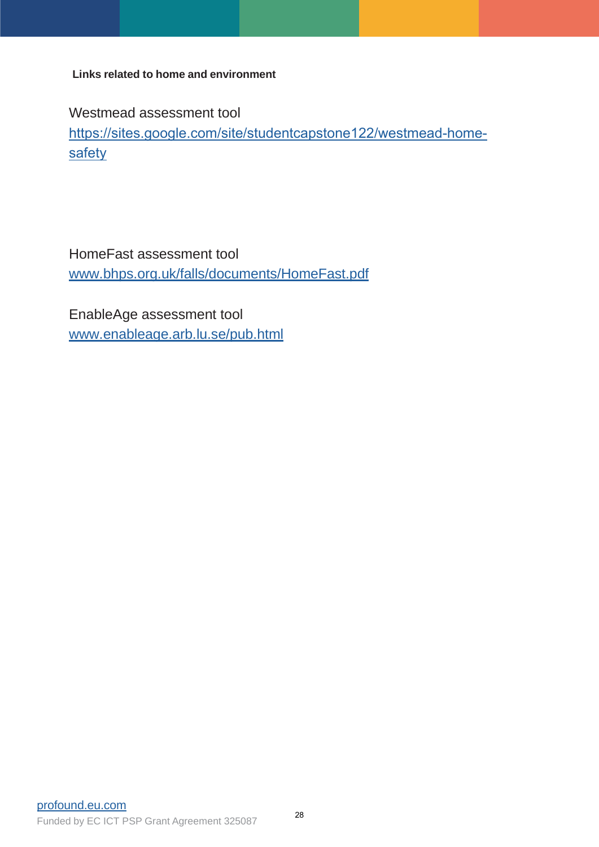**Links related to home and environment**

Westmead assessment tool

[https://sites.google.com/site/studentcapstone122/westmead-home](https://sites.google.com/site/studentcapstone122/westmead-home-safety)safety

HomeFast assessment tool [www.bhps.org.uk/falls/documents/HomeFast.pdf](http://www.bhps.org.uk/falls/documents/HomeFast.pdf)

EnableAge assessment tool [www.enableage.arb.lu.se/pub.html](http://www.enableage.arb.lu.se/pub.html)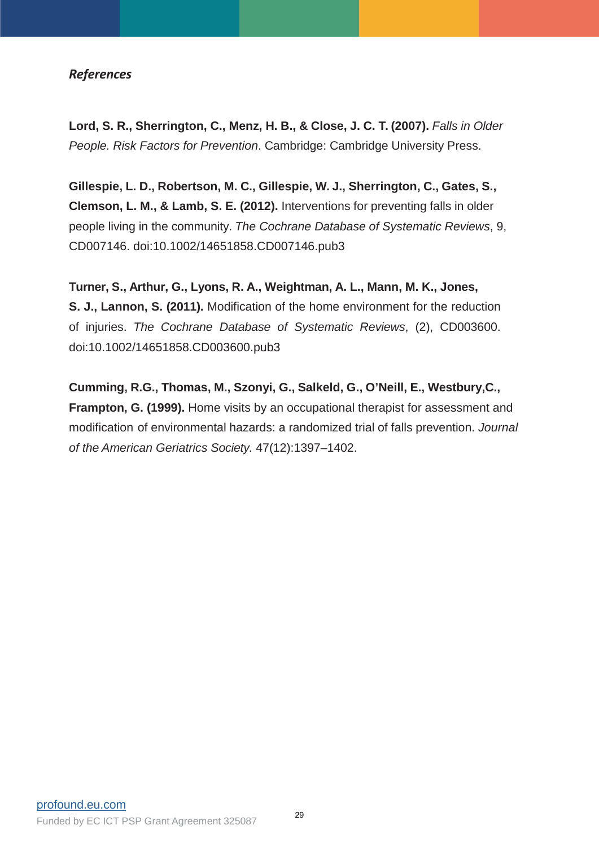## *References*

**Lord, S. R., Sherrington, C., Menz, H. B., & Close, J. C. T. (2007).** *Falls in Older People. Risk Factors for Prevention*. Cambridge: Cambridge University Press.

**Gillespie, L. D., Robertson, M. C., Gillespie, W. J., Sherrington, C., Gates, S., Clemson, L. M., & Lamb, S. E. (2012).** Interventions for preventing falls in older people living in the community. *The Cochrane Database of Systematic Reviews*, 9, CD007146. doi:10.1002/14651858.CD007146.pub3

**Turner, S., Arthur, G., Lyons, R. A., Weightman, A. L., Mann, M. K., Jones, S. J., Lannon, S. (2011).** Modification of the home environment for the reduction of injuries. *The Cochrane Database of Systematic Reviews*, (2), CD003600. doi:10.1002/14651858.CD003600.pub3

**Cumming, R.G., Thomas, M., Szonyi, G., Salkeld, G., O'Neill, E., Westbury,C., Frampton, G. (1999).** Home visits by an occupational therapist for assessment and modification of environmental hazards: a randomized trial of falls prevention. *Journal of the American Geriatrics Society.* 47(12):1397–1402.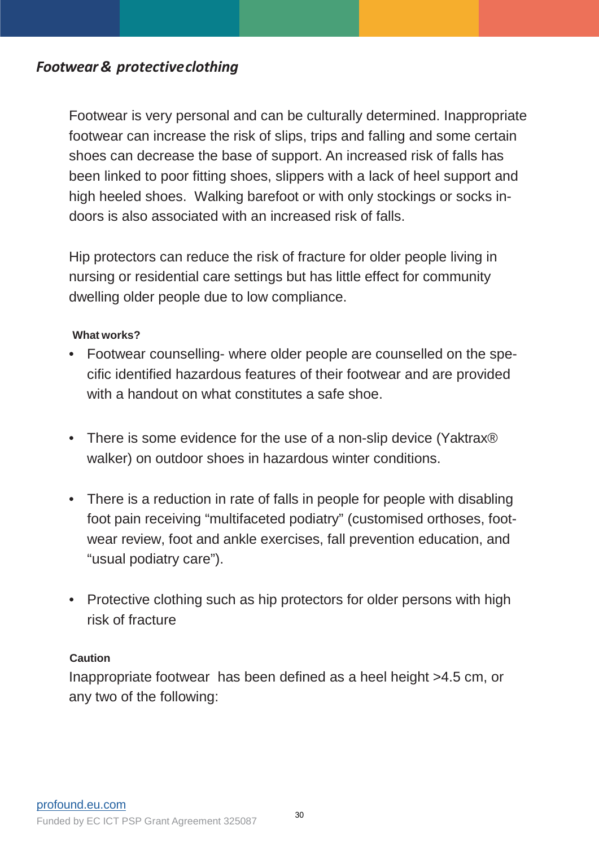# *Footwear& protective clothing*

Footwear is very personal and can be culturally determined. Inappropriate footwear can increase the risk of slips, trips and falling and some certain shoes can decrease the base of support. An increased risk of falls has been linked to poor fitting shoes, slippers with a lack of heel support and high heeled shoes. Walking barefoot or with only stockings or socks indoors is also associated with an increased risk of falls.

Hip protectors can reduce the risk of fracture for older people living in nursing or residential care settings but has little effect for community dwelling older people due to low compliance.

## **What works?**

- Footwear counselling- where older people are counselled on the specific identified hazardous features of their footwear and are provided with a handout on what constitutes a safe shoe.
- There is some evidence for the use of a non-slip device (Yaktrax<sup>®</sup>) walker) on outdoor shoes in hazardous winter conditions.
- There is a reduction in rate of falls in people for people with disabling foot pain receiving "multifaceted podiatry" (customised orthoses, footwear review, foot and ankle exercises, fall prevention education, and "usual podiatry care").
- Protective clothing such as hip protectors for older persons with high risk of fracture

## **Caution**

Inappropriate footwear has been defined as a heel height >4.5 cm, or any two of the following: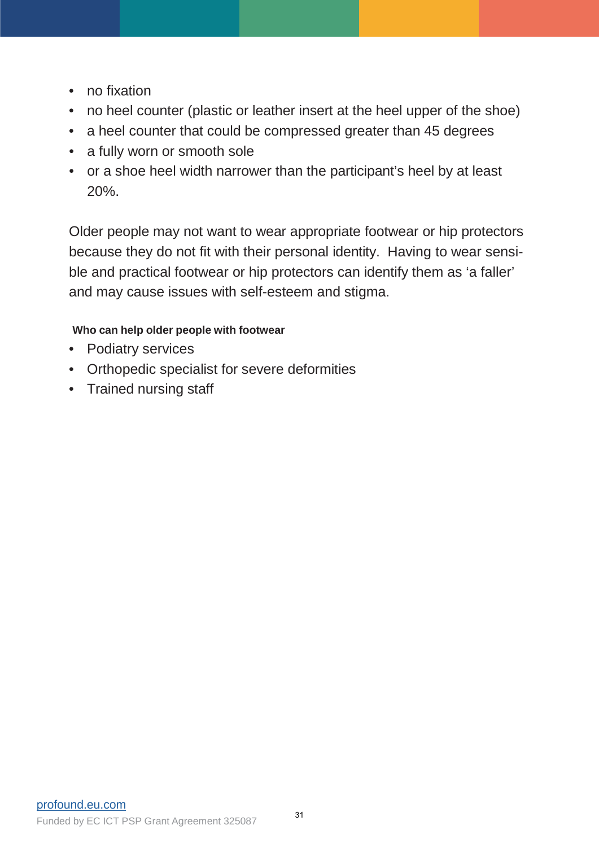- no fixation
- no heel counter (plastic or leather insert at the heel upper of the shoe)
- a heel counter that could be compressed greater than 45 degrees
- a fully worn or smooth sole
- or a shoe heel width narrower than the participant's heel by at least 20%.

Older people may not want to wear appropriate footwear or hip protectors because they do not fit with their personal identity. Having to wear sensible and practical footwear or hip protectors can identify them as 'a faller' and may cause issues with self-esteem and stigma.

# **Who can help older people with footwear**

- Podiatry services
- Orthopedic specialist for severe deformities
- Trained nursing staff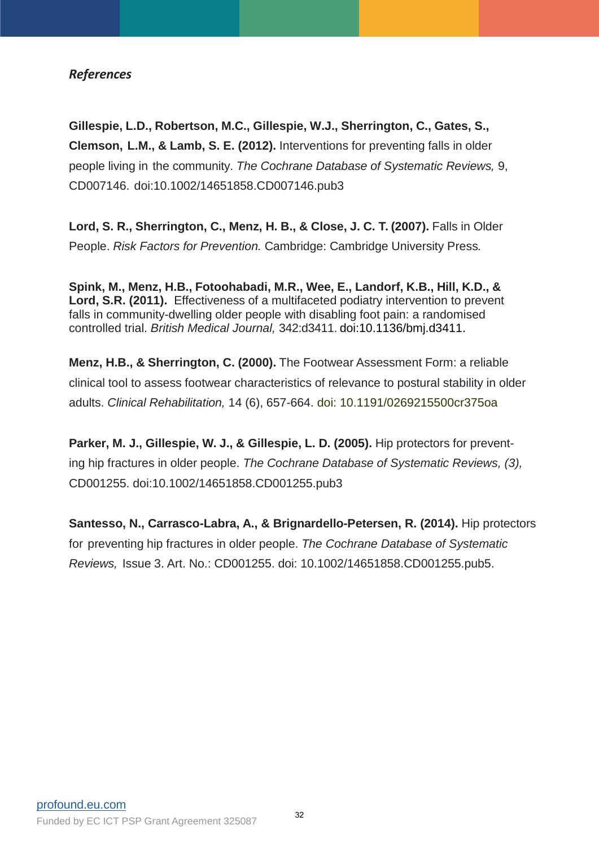## *References*

**Gillespie, L.D., Robertson, M.C., Gillespie, W.J., Sherrington, C., Gates, S., Clemson, L.M., & Lamb, S. E. (2012).** Interventions for preventing falls in older people living in the community. *The Cochrane Database of Systematic Reviews,* 9, CD007146. doi:10.1002/14651858.CD007146.pub3

**Lord, S. R., Sherrington, C., Menz, H. B., & Close, J. C. T. (2007).** Falls in Older People. *Risk Factors for Prevention.* Cambridge: Cambridge University Press*.*

**Spink, M., Menz, H.B., Fotoohabadi, M.R., Wee, E., Landorf, K.B., Hill, K.D., & Lord, S.R. (2011).** Effectiveness of a multifaceted podiatry intervention to prevent falls in community-dwelling older people with disabling foot pain: a randomised controlled trial. *British Medical Journal,* 342:d3411. doi:10.1136/bmj.d3411.

**Menz, H.B., & Sherrington, C. (2000).** The Footwear Assessment Form: a reliable clinical tool to assess footwear characteristics of relevance to postural stability in older adults. *Clinical Rehabilitation,* 14 (6), 657-664. doi: 10.1191/0269215500cr375oa

**Parker, M. J., Gillespie, W. J., & Gillespie, L. D. (2005).** Hip protectors for preventing hip fractures in older people. *The Cochrane Database of Systematic Reviews, (3),* CD001255. doi:10.1002/14651858.CD001255.pub3

**Santesso, N., Carrasco-Labra, A., & Brignardello-Petersen, R. (2014).** Hip protectors for preventing hip fractures in older people. *The Cochrane Database of Systematic Reviews,* Issue 3. Art. No.: CD001255. doi: 10.1002/14651858.CD001255.pub5.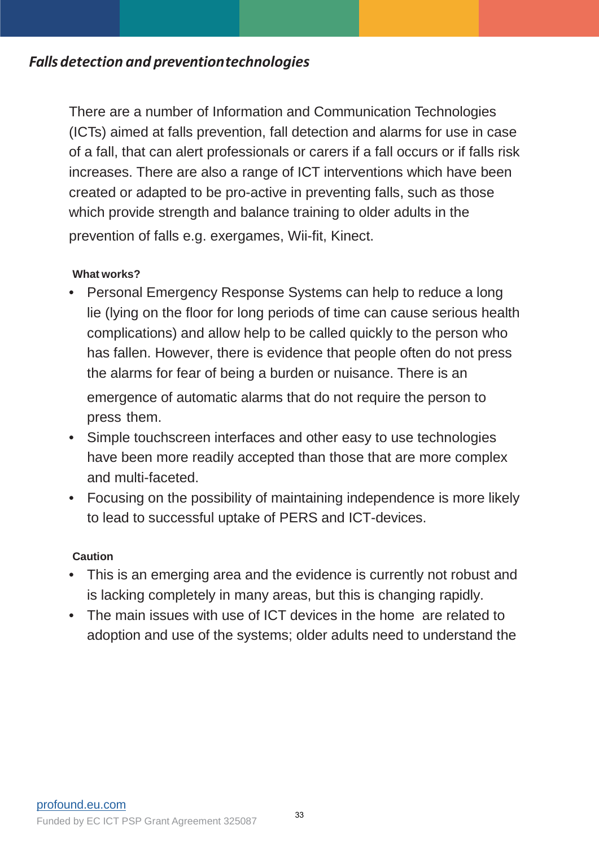# *Fallsdetection and preventiontechnologies*

There are a number of Information and Communication Technologies (ICTs) aimed at falls prevention, fall detection and alarms for use in case of a fall, that can alert professionals or carers if a fall occurs or if falls risk increases. There are also a range of ICT interventions which have been created or adapted to be pro-active in preventing falls, such as those which provide strength and balance training to older adults in the prevention of falls e.g. exergames, Wii-fit, Kinect.

## **What works?**

- Personal Emergency Response Systems can help to reduce a long lie (lying on the floor for long periods of time can cause serious health complications) and allow help to be called quickly to the person who has fallen. However, there is evidence that people often do not press the alarms for fear of being a burden or nuisance. There is an emergence of automatic alarms that do not require the person to press them.
- Simple touchscreen interfaces and other easy to use technologies have been more readily accepted than those that are more complex and multi-faceted.
- Focusing on the possibility of maintaining independence is more likely to lead to successful uptake of PERS and ICT-devices.

## **Caution**

- This is an emerging area and the evidence is currently not robust and is lacking completely in many areas, but this is changing rapidly.
- The main issues with use of ICT devices in the home are related to adoption and use of the systems; older adults need to understand the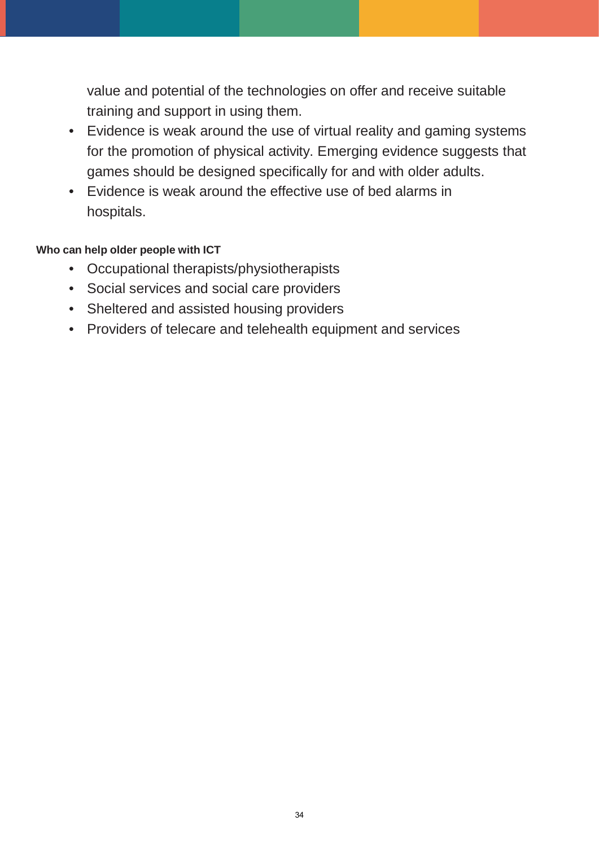value and potential of the technologies on offer and receive suitable training and support in using them.

- Evidence is weak around the use of virtual reality and gaming systems for the promotion of physical activity. Emerging evidence suggests that games should be designed specifically for and with older adults.
- Evidence is weak around the effective use of bed alarms in hospitals.

## **Who can help older people with ICT**

- Occupational therapists/physiotherapists
- Social services and social care providers
- Sheltered and assisted housing providers
- Providers of telecare and telehealth equipment and services